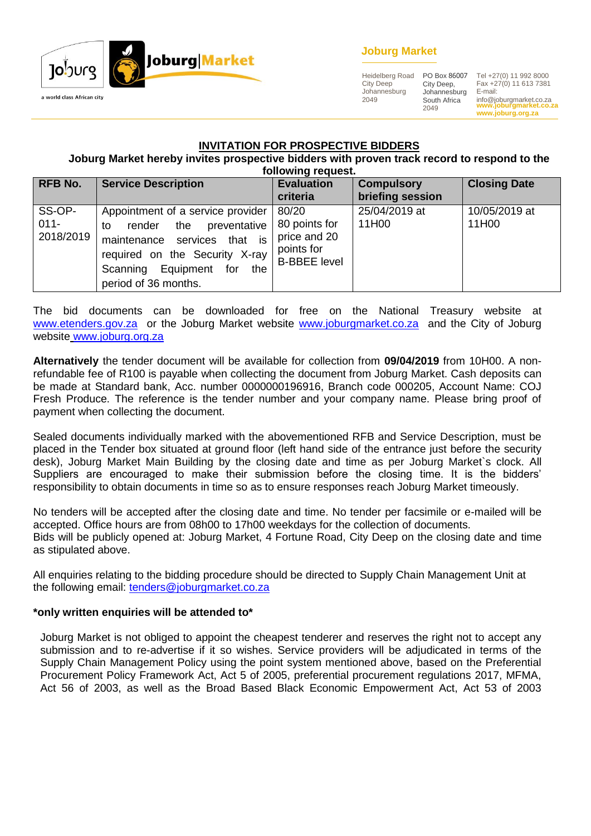

# **Joburg Market**

Heidelberg Road City Deep Johannesburg 2049

City Deep, Johannesburg South Africa 2049

**www.joburgmarket.co.za** info@joburgmarket.co.za **www.joburg.org.za** PO Box 86007 Tel +27(0) 11 992 8000 Fax +27(0) 11 613 7381 E-mail:

#### **INVITATION FOR PROSPECTIVE BIDDERS**

**Joburg Market hereby invites prospective bidders with proven track record to respond to the following request.**

| <b>RFB No.</b>                 | <b>Service Description</b>                                                                                                                                                                                | TONOMING TUGALOW<br><b>Evaluation</b><br>criteria                           | <b>Compulsory</b><br>briefing session | <b>Closing Date</b>    |
|--------------------------------|-----------------------------------------------------------------------------------------------------------------------------------------------------------------------------------------------------------|-----------------------------------------------------------------------------|---------------------------------------|------------------------|
| SS-OP-<br>$011 -$<br>2018/2019 | Appointment of a service provider<br>preventative<br>the<br>render<br>to<br>services that is<br>maintenance<br>required on the Security X-ray<br>Equipment for<br>Scanning<br>the<br>period of 36 months. | 80/20<br>80 points for<br>price and 20<br>points for<br><b>B-BBEE level</b> | 25/04/2019 at<br>11H00                | 10/05/2019 at<br>11H00 |

The bid documents can be downloaded for free on the National Treasury website at [www.etenders.gov.za](http://www.etenders.gov.za/) or the Joburg Market website [www.joburgmarket.co.za](http://www.joburgmarket.co.za/) and the City of Joburg website [www.joburg.org.za](http://www.joburg.org.za/)

**Alternatively** the tender document will be available for collection from **09/04/2019** from 10H00. A nonrefundable fee of R100 is payable when collecting the document from Joburg Market. Cash deposits can be made at Standard bank, Acc. number 0000000196916, Branch code 000205, Account Name: COJ Fresh Produce. The reference is the tender number and your company name. Please bring proof of payment when collecting the document.

Sealed documents individually marked with the abovementioned RFB and Service Description, must be placed in the Tender box situated at ground floor (left hand side of the entrance just before the security desk), Joburg Market Main Building by the closing date and time as per Joburg Market`s clock. All Suppliers are encouraged to make their submission before the closing time. It is the bidders' responsibility to obtain documents in time so as to ensure responses reach Joburg Market timeously.

No tenders will be accepted after the closing date and time. No tender per facsimile or e-mailed will be accepted. Office hours are from 08h00 to 17h00 weekdays for the collection of documents. Bids will be publicly opened at: Joburg Market, 4 Fortune Road, City Deep on the closing date and time as stipulated above.

All enquiries relating to the bidding procedure should be directed to Supply Chain Management Unit at the following email: [tenders@joburgmarket.co.za](mailto:tenders@joburgmarket.co.za)

### **\*only written enquiries will be attended to\***

Joburg Market is not obliged to appoint the cheapest tenderer and reserves the right not to accept any submission and to re-advertise if it so wishes. Service providers will be adjudicated in terms of the Supply Chain Management Policy using the point system mentioned above, based on the Preferential Procurement Policy Framework Act, Act 5 of 2005, preferential procurement regulations 2017, MFMA, Act 56 of 2003, as well as the Broad Based Black Economic Empowerment Act, Act 53 of 2003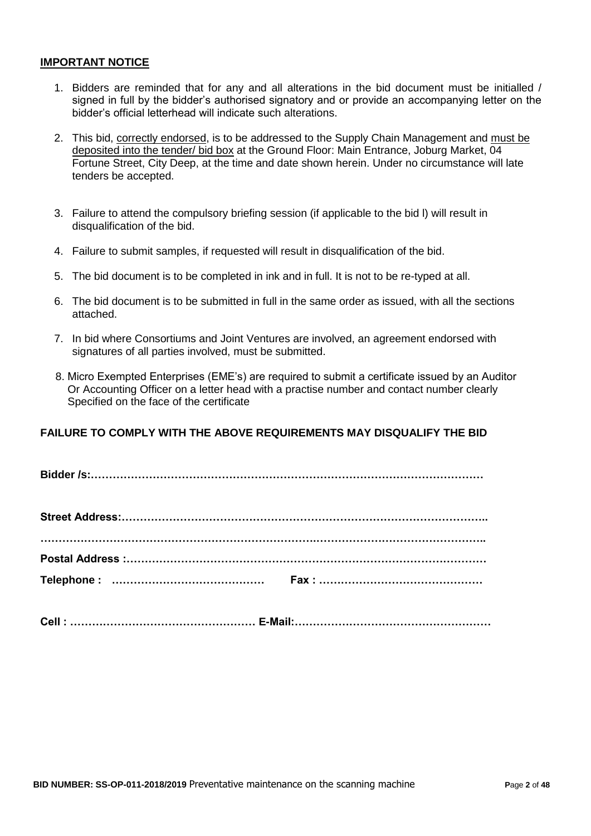#### **IMPORTANT NOTICE**

- 1. Bidders are reminded that for any and all alterations in the bid document must be initialled / signed in full by the bidder"s authorised signatory and or provide an accompanying letter on the bidder"s official letterhead will indicate such alterations.
- 2. This bid, correctly endorsed, is to be addressed to the Supply Chain Management and must be deposited into the tender/ bid box at the Ground Floor: Main Entrance, Joburg Market, 04 Fortune Street, City Deep, at the time and date shown herein. Under no circumstance will late tenders be accepted.
- 3. Failure to attend the compulsory briefing session (if applicable to the bid l) will result in disqualification of the bid.
- 4. Failure to submit samples, if requested will result in disqualification of the bid.
- 5. The bid document is to be completed in ink and in full. It is not to be re-typed at all.
- 6. The bid document is to be submitted in full in the same order as issued, with all the sections attached.
- 7. In bid where Consortiums and Joint Ventures are involved, an agreement endorsed with signatures of all parties involved, must be submitted.
- 8. Micro Exempted Enterprises (EME"s) are required to submit a certificate issued by an Auditor Or Accounting Officer on a letter head with a practise number and contact number clearly Specified on the face of the certificate

# **FAILURE TO COMPLY WITH THE ABOVE REQUIREMENTS MAY DISQUALIFY THE BID**

**Bidder /s:………………………………………………………………………………………………**

|  | Cell:………………………………………………… E-Mail:………………………………………………… |
|--|-----------------------------------------------------|
|  |                                                     |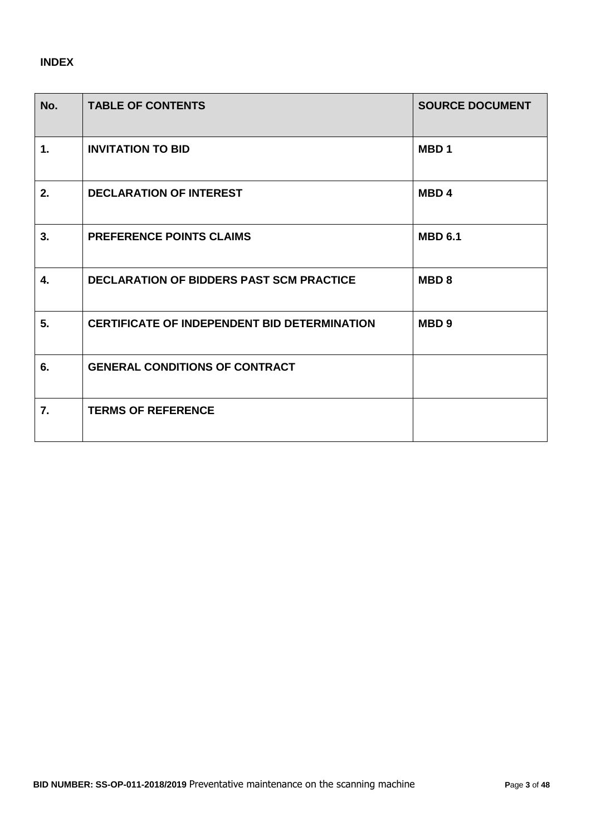# **INDEX**

| No.            | <b>TABLE OF CONTENTS</b>                            | <b>SOURCE DOCUMENT</b> |
|----------------|-----------------------------------------------------|------------------------|
| $\mathbf{1}$ . | <b>INVITATION TO BID</b>                            | MBD <sub>1</sub>       |
| 2.             | <b>DECLARATION OF INTEREST</b>                      | MBD <sub>4</sub>       |
| 3.             | <b>PREFERENCE POINTS CLAIMS</b>                     | <b>MBD 6.1</b>         |
| 4.             | <b>DECLARATION OF BIDDERS PAST SCM PRACTICE</b>     | MBD <sub>8</sub>       |
| 5.             | <b>CERTIFICATE OF INDEPENDENT BID DETERMINATION</b> | MBD <sub>9</sub>       |
| 6.             | <b>GENERAL CONDITIONS OF CONTRACT</b>               |                        |
| 7.             | <b>TERMS OF REFERENCE</b>                           |                        |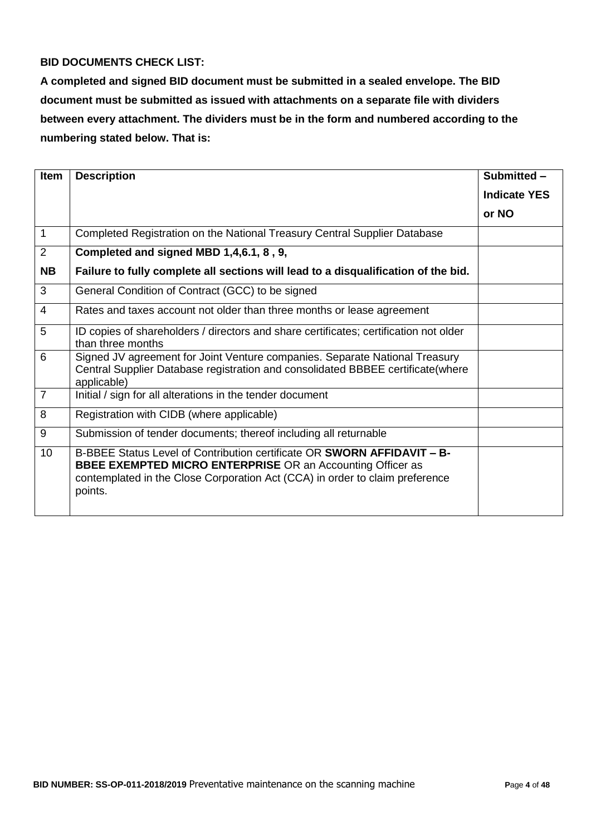# **BID DOCUMENTS CHECK LIST:**

**A completed and signed BID document must be submitted in a sealed envelope. The BID document must be submitted as issued with attachments on a separate file with dividers between every attachment. The dividers must be in the form and numbered according to the numbering stated below. That is:**

| <b>Item</b>    | <b>Description</b>                                                                                                                                                                                                                             | Submitted -         |
|----------------|------------------------------------------------------------------------------------------------------------------------------------------------------------------------------------------------------------------------------------------------|---------------------|
|                |                                                                                                                                                                                                                                                | <b>Indicate YES</b> |
|                |                                                                                                                                                                                                                                                | or NO               |
| $\mathbf{1}$   | Completed Registration on the National Treasury Central Supplier Database                                                                                                                                                                      |                     |
| 2              | Completed and signed MBD 1,4,6.1, 8, 9,                                                                                                                                                                                                        |                     |
| <b>NB</b>      | Failure to fully complete all sections will lead to a disqualification of the bid.                                                                                                                                                             |                     |
| 3              | General Condition of Contract (GCC) to be signed                                                                                                                                                                                               |                     |
| 4              | Rates and taxes account not older than three months or lease agreement                                                                                                                                                                         |                     |
| 5              | ID copies of shareholders / directors and share certificates; certification not older<br>than three months                                                                                                                                     |                     |
| 6              | Signed JV agreement for Joint Venture companies. Separate National Treasury<br>Central Supplier Database registration and consolidated BBBEE certificate(where<br>applicable)                                                                  |                     |
| $\overline{7}$ | Initial / sign for all alterations in the tender document                                                                                                                                                                                      |                     |
| 8              | Registration with CIDB (where applicable)                                                                                                                                                                                                      |                     |
| 9              | Submission of tender documents; thereof including all returnable                                                                                                                                                                               |                     |
| 10             | B-BBEE Status Level of Contribution certificate OR <b>SWORN AFFIDAVIT - B-</b><br><b>BBEE EXEMPTED MICRO ENTERPRISE OR an Accounting Officer as</b><br>contemplated in the Close Corporation Act (CCA) in order to claim preference<br>points. |                     |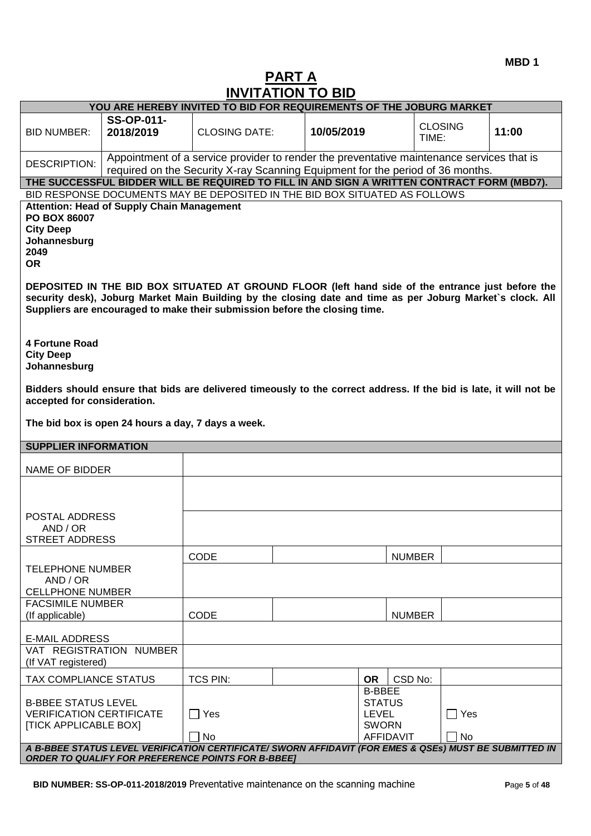# **PART A INVITATION TO BID**

|                                                                                                                                                                                                                                                                                                                        | YOU ARE HEREBY INVITED TO BID FOR REQUIREMENTS OF THE JOBURG MARKET |                                                                                                                                                                             |            |                                                                             |                         |                  |       |
|------------------------------------------------------------------------------------------------------------------------------------------------------------------------------------------------------------------------------------------------------------------------------------------------------------------------|---------------------------------------------------------------------|-----------------------------------------------------------------------------------------------------------------------------------------------------------------------------|------------|-----------------------------------------------------------------------------|-------------------------|------------------|-------|
| <b>BID NUMBER:</b>                                                                                                                                                                                                                                                                                                     | <b>SS-OP-011-</b><br>2018/2019                                      | <b>CLOSING DATE:</b>                                                                                                                                                        | 10/05/2019 |                                                                             | <b>CLOSING</b><br>TIME: |                  | 11:00 |
| <b>DESCRIPTION:</b>                                                                                                                                                                                                                                                                                                    |                                                                     | Appointment of a service provider to render the preventative maintenance services that is<br>required on the Security X-ray Scanning Equipment for the period of 36 months. |            |                                                                             |                         |                  |       |
| THE SUCCESSFUL BIDDER WILL BE REQUIRED TO FILL IN AND SIGN A WRITTEN CONTRACT FORM (MBD7).                                                                                                                                                                                                                             |                                                                     |                                                                                                                                                                             |            |                                                                             |                         |                  |       |
| BID RESPONSE DOCUMENTS MAY BE DEPOSITED IN THE BID BOX SITUATED AS FOLLOWS                                                                                                                                                                                                                                             |                                                                     |                                                                                                                                                                             |            |                                                                             |                         |                  |       |
| <b>PO BOX 86007</b><br><b>City Deep</b><br>Johannesburg<br>2049<br><b>OR</b>                                                                                                                                                                                                                                           | <b>Attention: Head of Supply Chain Management</b>                   |                                                                                                                                                                             |            |                                                                             |                         |                  |       |
| DEPOSITED IN THE BID BOX SITUATED AT GROUND FLOOR (left hand side of the entrance just before the<br>security desk), Joburg Market Main Building by the closing date and time as per Joburg Market's clock. All<br>Suppliers are encouraged to make their submission before the closing time.<br><b>4 Fortune Road</b> |                                                                     |                                                                                                                                                                             |            |                                                                             |                         |                  |       |
| <b>City Deep</b><br>Johannesburg                                                                                                                                                                                                                                                                                       |                                                                     |                                                                                                                                                                             |            |                                                                             |                         |                  |       |
| Bidders should ensure that bids are delivered timeously to the correct address. If the bid is late, it will not be<br>accepted for consideration.                                                                                                                                                                      |                                                                     |                                                                                                                                                                             |            |                                                                             |                         |                  |       |
| The bid box is open 24 hours a day, 7 days a week.                                                                                                                                                                                                                                                                     |                                                                     |                                                                                                                                                                             |            |                                                                             |                         |                  |       |
| <b>SUPPLIER INFORMATION</b>                                                                                                                                                                                                                                                                                            |                                                                     |                                                                                                                                                                             |            |                                                                             |                         |                  |       |
| NAME OF BIDDER                                                                                                                                                                                                                                                                                                         |                                                                     |                                                                                                                                                                             |            |                                                                             |                         |                  |       |
|                                                                                                                                                                                                                                                                                                                        |                                                                     |                                                                                                                                                                             |            |                                                                             |                         |                  |       |
| POSTAL ADDRESS<br>AND / OR<br><b>STREET ADDRESS</b>                                                                                                                                                                                                                                                                    |                                                                     |                                                                                                                                                                             |            |                                                                             |                         |                  |       |
|                                                                                                                                                                                                                                                                                                                        |                                                                     | CODE                                                                                                                                                                        |            |                                                                             | <b>NUMBER</b>           |                  |       |
| <b>TELEPHONE NUMBER</b><br>AND / OR<br><b>CELLPHONE NUMBER</b>                                                                                                                                                                                                                                                         |                                                                     |                                                                                                                                                                             |            |                                                                             |                         |                  |       |
| <b>FACSIMILE NUMBER</b><br>(If applicable)                                                                                                                                                                                                                                                                             |                                                                     | CODE                                                                                                                                                                        |            |                                                                             | <b>NUMBER</b>           |                  |       |
| <b>E-MAIL ADDRESS</b>                                                                                                                                                                                                                                                                                                  |                                                                     |                                                                                                                                                                             |            |                                                                             |                         |                  |       |
| VAT REGISTRATION<br>(If VAT registered)                                                                                                                                                                                                                                                                                | <b>NUMBER</b>                                                       |                                                                                                                                                                             |            |                                                                             |                         |                  |       |
| TAX COMPLIANCE STATUS                                                                                                                                                                                                                                                                                                  |                                                                     | <b>TCS PIN:</b>                                                                                                                                                             |            | <b>OR</b>                                                                   | CSD No:                 |                  |       |
| <b>B-BBEE STATUS LEVEL</b><br><b>VERIFICATION CERTIFICATE</b><br><b>[TICK APPLICABLE BOX]</b>                                                                                                                                                                                                                          |                                                                     | $\Box$ Yes<br>No                                                                                                                                                            |            | <b>B-BBEE</b><br><b>STATUS</b><br>LEVEL<br><b>SWORN</b><br><b>AFFIDAVIT</b> |                         | $\Box$ Yes<br>No |       |
| A B-BBEE STATUS LEVEL VERIFICATION CERTIFICATE/ SWORN AFFIDAVIT (FOR EMES & QSEs) MUST BE SUBMITTED IN<br><b>ORDER TO QUALIFY FOR PREFERENCE POINTS FOR B-BBEET</b>                                                                                                                                                    |                                                                     |                                                                                                                                                                             |            |                                                                             |                         |                  |       |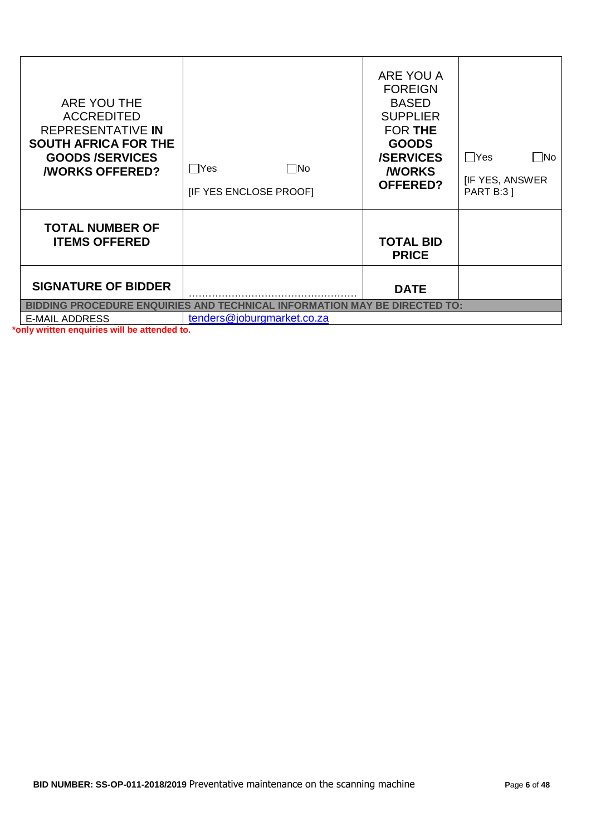| ARE YOU THE<br><b>ACCREDITED</b><br>REPRESENTATIVE IN<br><b>SOUTH AFRICA FOR THE</b><br><b>GOODS/SERVICES</b><br><b><i>NORKS OFFERED?</i></b> | Yes<br>   No<br>[IF YES ENCLOSE PROOF]                                                                  | ARE YOU A<br><b>FOREIGN</b><br><b>BASED</b><br><b>SUPPLIER</b><br><b>FOR THE</b><br><b>GOODS</b><br><b>/SERVICES</b><br><b><i>NORKS</i></b><br><b>OFFERED?</b> | $\Box$ Yes<br>$\Box$ No<br><b>IF YES, ANSWER</b><br><b>PART B:3 ]</b> |
|-----------------------------------------------------------------------------------------------------------------------------------------------|---------------------------------------------------------------------------------------------------------|----------------------------------------------------------------------------------------------------------------------------------------------------------------|-----------------------------------------------------------------------|
| <b>TOTAL NUMBER OF</b><br><b>ITEMS OFFERED</b>                                                                                                |                                                                                                         | <b>TOTAL BID</b><br><b>PRICE</b>                                                                                                                               |                                                                       |
| <b>SIGNATURE OF BIDDER</b>                                                                                                                    |                                                                                                         | <b>DATE</b>                                                                                                                                                    |                                                                       |
| <b>E-MAIL ADDRESS</b>                                                                                                                         | BIDDING PROCEDURE ENQUIRIES AND TECHNICAL INFORMATION MAY BE DIRECTED TO:<br>tenders@joburgmarket.co.za |                                                                                                                                                                |                                                                       |
|                                                                                                                                               |                                                                                                         |                                                                                                                                                                |                                                                       |

**\*only written enquiries will be attended to.**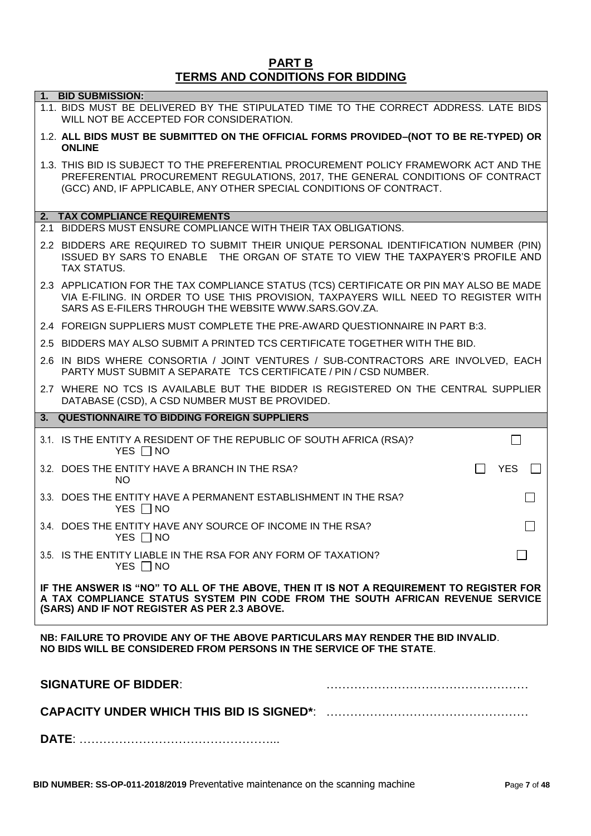#### **PART B TERMS AND CONDITIONS FOR BIDDING**

|                             | 1. BID SUBMISSION:<br>1.1. BIDS MUST BE DELIVERED BY THE STIPULATED TIME TO THE CORRECT ADDRESS. LATE BIDS<br>WILL NOT BE ACCEPTED FOR CONSIDERATION.                                                                                          |  |  |  |  |
|-----------------------------|------------------------------------------------------------------------------------------------------------------------------------------------------------------------------------------------------------------------------------------------|--|--|--|--|
|                             | 1.2. ALL BIDS MUST BE SUBMITTED ON THE OFFICIAL FORMS PROVIDED-(NOT TO BE RE-TYPED) OR<br><b>ONLINE</b>                                                                                                                                        |  |  |  |  |
|                             | 1.3. THIS BID IS SUBJECT TO THE PREFERENTIAL PROCUREMENT POLICY FRAMEWORK ACT AND THE<br>PREFERENTIAL PROCUREMENT REGULATIONS, 2017, THE GENERAL CONDITIONS OF CONTRACT<br>(GCC) AND, IF APPLICABLE, ANY OTHER SPECIAL CONDITIONS OF CONTRACT. |  |  |  |  |
|                             | 2. TAX COMPLIANCE REQUIREMENTS                                                                                                                                                                                                                 |  |  |  |  |
|                             | 2.1 BIDDERS MUST ENSURE COMPLIANCE WITH THEIR TAX OBLIGATIONS.                                                                                                                                                                                 |  |  |  |  |
|                             | 2.2 BIDDERS ARE REQUIRED TO SUBMIT THEIR UNIQUE PERSONAL IDENTIFICATION NUMBER (PIN)<br>ISSUED BY SARS TO ENABLE THE ORGAN OF STATE TO VIEW THE TAXPAYER'S PROFILE AND<br><b>TAX STATUS.</b>                                                   |  |  |  |  |
|                             | 2.3 APPLICATION FOR THE TAX COMPLIANCE STATUS (TCS) CERTIFICATE OR PIN MAY ALSO BE MADE<br>VIA E-FILING. IN ORDER TO USE THIS PROVISION, TAXPAYERS WILL NEED TO REGISTER WITH<br>SARS AS E-FILERS THROUGH THE WEBSITE WWW.SARS.GOV.ZA.         |  |  |  |  |
|                             | 2.4 FOREIGN SUPPLIERS MUST COMPLETE THE PRE-AWARD QUESTIONNAIRE IN PART B:3.                                                                                                                                                                   |  |  |  |  |
|                             | 2.5 BIDDERS MAY ALSO SUBMIT A PRINTED TCS CERTIFICATE TOGETHER WITH THE BID.                                                                                                                                                                   |  |  |  |  |
|                             | 2.6 IN BIDS WHERE CONSORTIA / JOINT VENTURES / SUB-CONTRACTORS ARE INVOLVED, EACH<br>PARTY MUST SUBMIT A SEPARATE TCS CERTIFICATE / PIN / CSD NUMBER.                                                                                          |  |  |  |  |
|                             | 2.7 WHERE NO TCS IS AVAILABLE BUT THE BIDDER IS REGISTERED ON THE CENTRAL SUPPLIER<br>DATABASE (CSD), A CSD NUMBER MUST BE PROVIDED.                                                                                                           |  |  |  |  |
|                             | 3. QUESTIONNAIRE TO BIDDING FOREIGN SUPPLIERS                                                                                                                                                                                                  |  |  |  |  |
|                             | 3.1. IS THE ENTITY A RESIDENT OF THE REPUBLIC OF SOUTH AFRICA (RSA)?<br>YES $\Box$ NO                                                                                                                                                          |  |  |  |  |
|                             | <b>YES</b><br>3.2. DOES THE ENTITY HAVE A BRANCH IN THE RSA?<br><b>NO</b>                                                                                                                                                                      |  |  |  |  |
|                             | 3.3. DOES THE ENTITY HAVE A PERMANENT ESTABLISHMENT IN THE RSA?<br>YES $\Box$ NO                                                                                                                                                               |  |  |  |  |
|                             | 3.4. DOES THE ENTITY HAVE ANY SOURCE OF INCOME IN THE RSA?<br>YES $\Box$ NO                                                                                                                                                                    |  |  |  |  |
|                             | 3.5. IS THE ENTITY LIABLE IN THE RSA FOR ANY FORM OF TAXATION?<br>YES $\Box$ NO                                                                                                                                                                |  |  |  |  |
|                             | IF THE ANSWER IS "NO" TO ALL OF THE ABOVE, THEN IT IS NOT A REQUIREMENT TO REGISTER FOR<br>A TAX COMPLIANCE STATUS SYSTEM PIN CODE FROM THE SOUTH AFRICAN REVENUE SERVICE<br>(SARS) AND IF NOT REGISTER AS PER 2.3 ABOVE.                      |  |  |  |  |
|                             | NB: FAILURE TO PROVIDE ANY OF THE ABOVE PARTICULARS MAY RENDER THE BID INVALID.<br>NO BIDS WILL BE CONSIDERED FROM PERSONS IN THE SERVICE OF THE STATE.                                                                                        |  |  |  |  |
| <b>SIGNATURE OF BIDDER:</b> |                                                                                                                                                                                                                                                |  |  |  |  |
|                             |                                                                                                                                                                                                                                                |  |  |  |  |
|                             |                                                                                                                                                                                                                                                |  |  |  |  |
|                             |                                                                                                                                                                                                                                                |  |  |  |  |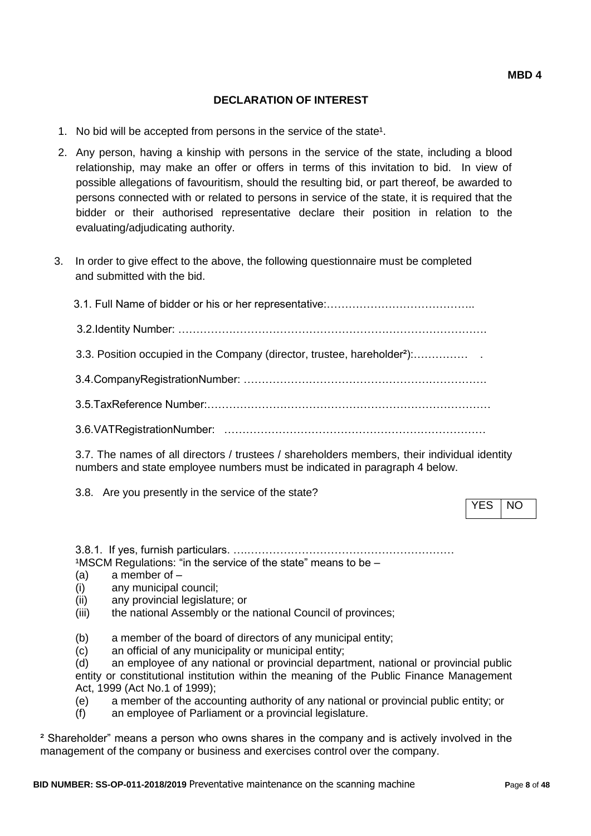# **DECLARATION OF INTEREST**

- 1. No bid will be accepted from persons in the service of the state<sup>1</sup>.
- 2. Any person, having a kinship with persons in the service of the state, including a blood relationship, may make an offer or offers in terms of this invitation to bid. In view of possible allegations of favouritism, should the resulting bid, or part thereof, be awarded to persons connected with or related to persons in service of the state, it is required that the bidder or their authorised representative declare their position in relation to the evaluating/adjudicating authority.
- 3. In order to give effect to the above, the following questionnaire must be completed and submitted with the bid.

3.7. The names of all directors / trustees / shareholders members, their individual identity numbers and state employee numbers must be indicated in paragraph 4 below.

3.8. Are you presently in the service of the state?

YES NO

3.8.1. If yes, furnish particulars. ….…………………………………………………  $1$ MSCM Regulations: "in the service of the state" means to be  $-$ 

- (a) a member of –
- (i) any municipal council;
- (ii) any provincial legislature; or
- (iii) the national Assembly or the national Council of provinces;

(b) a member of the board of directors of any municipal entity;

(c) an official of any municipality or municipal entity;

(d) an employee of any national or provincial department, national or provincial public entity or constitutional institution within the meaning of the Public Finance Management Act, 1999 (Act No.1 of 1999);

(e) a member of the accounting authority of any national or provincial public entity; or

(f) an employee of Parliament or a provincial legislature.

² Shareholder" means a person who owns shares in the company and is actively involved in the management of the company or business and exercises control over the company.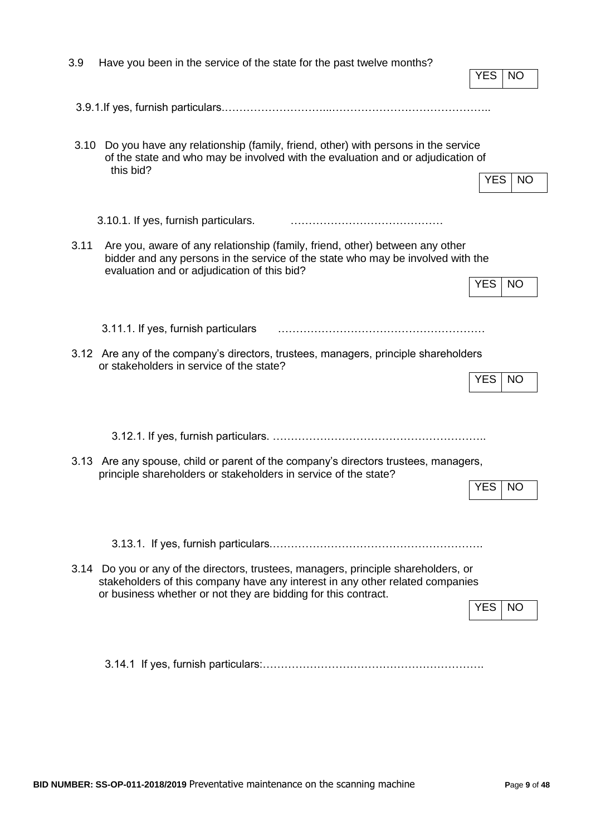| 3.9  | Have you been in the service of the state for the past twelve months?                                                                                                                                                                  |            |           |
|------|----------------------------------------------------------------------------------------------------------------------------------------------------------------------------------------------------------------------------------------|------------|-----------|
|      |                                                                                                                                                                                                                                        | <b>YES</b> | NO        |
|      |                                                                                                                                                                                                                                        |            |           |
|      |                                                                                                                                                                                                                                        |            |           |
|      |                                                                                                                                                                                                                                        |            |           |
| 3.10 | Do you have any relationship (family, friend, other) with persons in the service<br>of the state and who may be involved with the evaluation and or adjudication of                                                                    |            |           |
|      | this bid?                                                                                                                                                                                                                              | YES.       | NO.       |
|      |                                                                                                                                                                                                                                        |            |           |
|      | 3.10.1. If yes, furnish particulars.                                                                                                                                                                                                   |            |           |
| 3.11 | Are you, aware of any relationship (family, friend, other) between any other<br>bidder and any persons in the service of the state who may be involved with the<br>evaluation and or adjudication of this bid?                         |            |           |
|      |                                                                                                                                                                                                                                        | <b>YES</b> | <b>NO</b> |
|      |                                                                                                                                                                                                                                        |            |           |
|      | 3.11.1. If yes, furnish particulars                                                                                                                                                                                                    |            |           |
|      |                                                                                                                                                                                                                                        |            |           |
|      | 3.12 Are any of the company's directors, trustees, managers, principle shareholders<br>or stakeholders in service of the state?                                                                                                        |            |           |
|      |                                                                                                                                                                                                                                        | <b>YES</b> | <b>NO</b> |
|      |                                                                                                                                                                                                                                        |            |           |
|      |                                                                                                                                                                                                                                        |            |           |
|      |                                                                                                                                                                                                                                        |            |           |
|      | 3.13 Are any spouse, child or parent of the company's directors trustees, managers,                                                                                                                                                    |            |           |
|      | principle shareholders or stakeholders in service of the state?                                                                                                                                                                        | <b>YES</b> | <b>NO</b> |
|      |                                                                                                                                                                                                                                        |            |           |
|      |                                                                                                                                                                                                                                        |            |           |
|      |                                                                                                                                                                                                                                        |            |           |
|      |                                                                                                                                                                                                                                        |            |           |
|      | 3.14 Do you or any of the directors, trustees, managers, principle shareholders, or<br>stakeholders of this company have any interest in any other related companies<br>or business whether or not they are bidding for this contract. |            |           |
|      |                                                                                                                                                                                                                                        | <b>YES</b> | NO.       |
|      |                                                                                                                                                                                                                                        |            |           |
|      |                                                                                                                                                                                                                                        |            |           |
|      |                                                                                                                                                                                                                                        |            |           |
|      |                                                                                                                                                                                                                                        |            |           |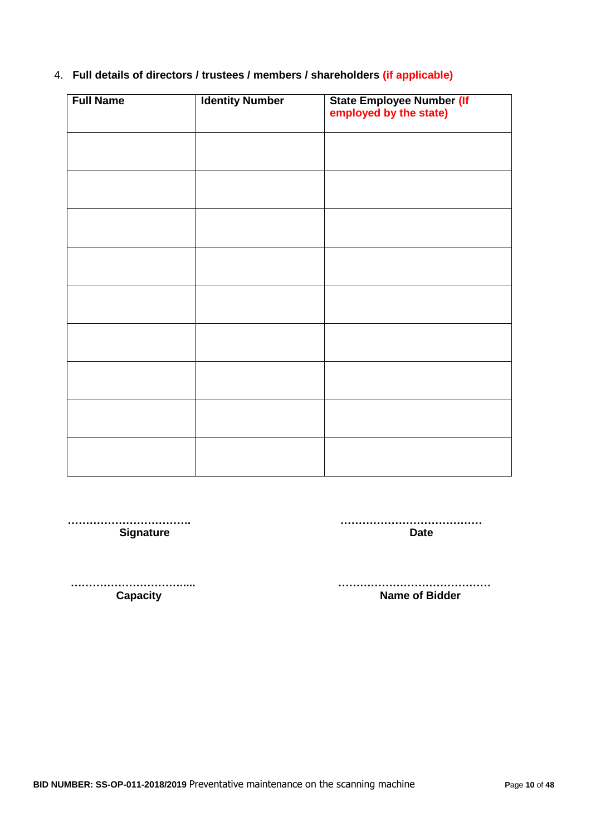# 4. **Full details of directors / trustees / members / shareholders (if applicable)**

| <b>Full Name</b> | <b>Identity Number</b> | State Employee Number (If<br>employed by the state) |
|------------------|------------------------|-----------------------------------------------------|
|                  |                        |                                                     |
|                  |                        |                                                     |
|                  |                        |                                                     |
|                  |                        |                                                     |
|                  |                        |                                                     |
|                  |                        |                                                     |
|                  |                        |                                                     |
|                  |                        |                                                     |
|                  |                        |                                                     |

 **……………………………. …………………………………** Signature **Date** 

 **…………………………..... …………………………………… Name of Bidder**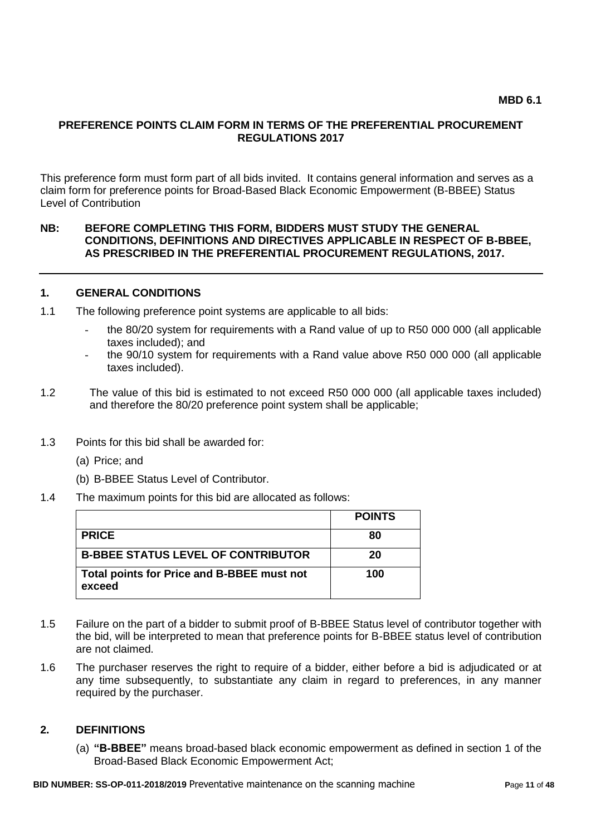### **PREFERENCE POINTS CLAIM FORM IN TERMS OF THE PREFERENTIAL PROCUREMENT REGULATIONS 2017**

This preference form must form part of all bids invited. It contains general information and serves as a claim form for preference points for Broad-Based Black Economic Empowerment (B-BBEE) Status Level of Contribution

#### **NB: BEFORE COMPLETING THIS FORM, BIDDERS MUST STUDY THE GENERAL CONDITIONS, DEFINITIONS AND DIRECTIVES APPLICABLE IN RESPECT OF B-BBEE, AS PRESCRIBED IN THE PREFERENTIAL PROCUREMENT REGULATIONS, 2017.**

#### **1. GENERAL CONDITIONS**

- 1.1 The following preference point systems are applicable to all bids:
	- the 80/20 system for requirements with a Rand value of up to R50 000 000 (all applicable taxes included); and
	- the 90/10 system for requirements with a Rand value above R50 000 000 (all applicable taxes included).
- 1.2 The value of this bid is estimated to not exceed R50 000 000 (all applicable taxes included) and therefore the 80/20 preference point system shall be applicable;
- 1.3 Points for this bid shall be awarded for:
	- (a) Price; and
	- (b) B-BBEE Status Level of Contributor.
- 1.4 The maximum points for this bid are allocated as follows:

|                                                      | <b>POINTS</b> |
|------------------------------------------------------|---------------|
| <b>PRICE</b>                                         | 80            |
| <b>B-BBEE STATUS LEVEL OF CONTRIBUTOR</b>            | 20            |
| Total points for Price and B-BBEE must not<br>exceed | 100           |

- 1.5 Failure on the part of a bidder to submit proof of B-BBEE Status level of contributor together with the bid, will be interpreted to mean that preference points for B-BBEE status level of contribution are not claimed.
- 1.6 The purchaser reserves the right to require of a bidder, either before a bid is adjudicated or at any time subsequently, to substantiate any claim in regard to preferences, in any manner required by the purchaser.

#### **2. DEFINITIONS**

(a) **"B-BBEE"** means broad-based black economic empowerment as defined in section 1 of the Broad-Based Black Economic Empowerment Act;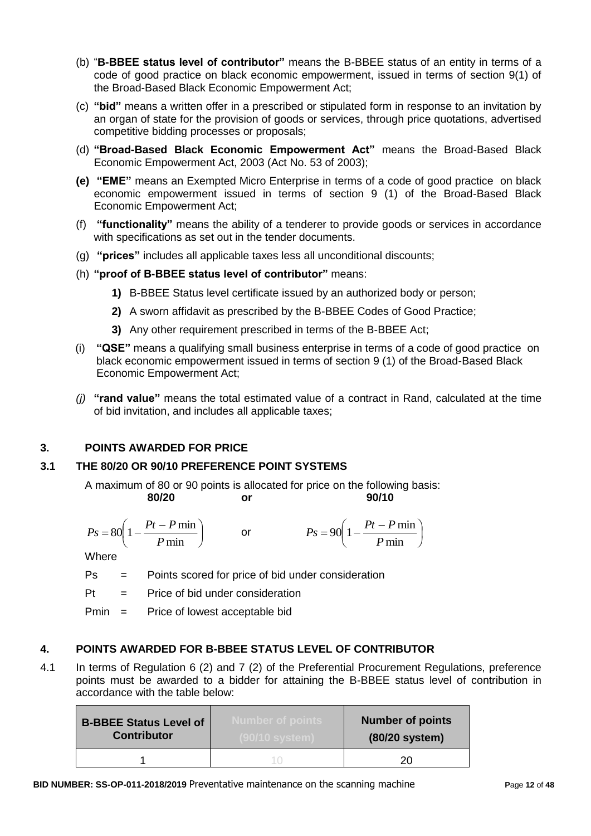- (b) "**B-BBEE status level of contributor"** means the B-BBEE status of an entity in terms of a code of good practice on black economic empowerment, issued in terms of section 9(1) of the Broad-Based Black Economic Empowerment Act;
- (c) **"bid"** means a written offer in a prescribed or stipulated form in response to an invitation by an organ of state for the provision of goods or services, through price quotations, advertised competitive bidding processes or proposals;
- (d) **"Broad-Based Black Economic Empowerment Act"** means the Broad-Based Black Economic Empowerment Act, 2003 (Act No. 53 of 2003);
- **(e) "EME"** means an Exempted Micro Enterprise in terms of a code of good practice on black economic empowerment issued in terms of section 9 (1) of the Broad-Based Black Economic Empowerment Act;
- (f) **"functionality"** means the ability of a tenderer to provide goods or services in accordance with specifications as set out in the tender documents.
- (g) **"prices"** includes all applicable taxes less all unconditional discounts;
- (h) **"proof of B-BBEE status level of contributor"** means:
	- **1)** B-BBEE Status level certificate issued by an authorized body or person;
	- **2)** A sworn affidavit as prescribed by the B-BBEE Codes of Good Practice;
	- **3)** Any other requirement prescribed in terms of the B-BBEE Act;
- (i) **"QSE"** means a qualifying small business enterprise in terms of a code of good practice on black economic empowerment issued in terms of section 9 (1) of the Broad-Based Black Economic Empowerment Act;
- *(j)* **"rand value"** means the total estimated value of a contract in Rand, calculated at the time of bid invitation, and includes all applicable taxes;

# **3. POINTS AWARDED FOR PRICE**

# **3.1 THE 80/20 OR 90/10 PREFERENCE POINT SYSTEMS**

A maximum of 80 or 90 points is allocated for price on the following basis: **80/20 or 90/10**

$$
\frac{1}{90}
$$

$$
Ps = 80 \left( 1 - \frac{Pt - P \min}{P \min} \right) \qquad \text{or} \qquad \qquad Ps = 90 \left( 1 - \frac{Pt - P \min}{P \min} \right)
$$

**Where** 

Ps = Points scored for price of bid under consideration

 $Pt =$  Price of bid under consideration

Pmin = Price of lowest acceptable bid

# **4. POINTS AWARDED FOR B-BBEE STATUS LEVEL OF CONTRIBUTOR**

4.1 In terms of Regulation 6 (2) and 7 (2) of the Preferential Procurement Regulations, preference points must be awarded to a bidder for attaining the B-BBEE status level of contribution in accordance with the table below:

| <b>B-BBEE Status Level of</b><br><b>Contributor</b> | <b>Number of points</b> | <b>Number of points</b><br>(80/20 system) |
|-----------------------------------------------------|-------------------------|-------------------------------------------|
|                                                     |                         | חר                                        |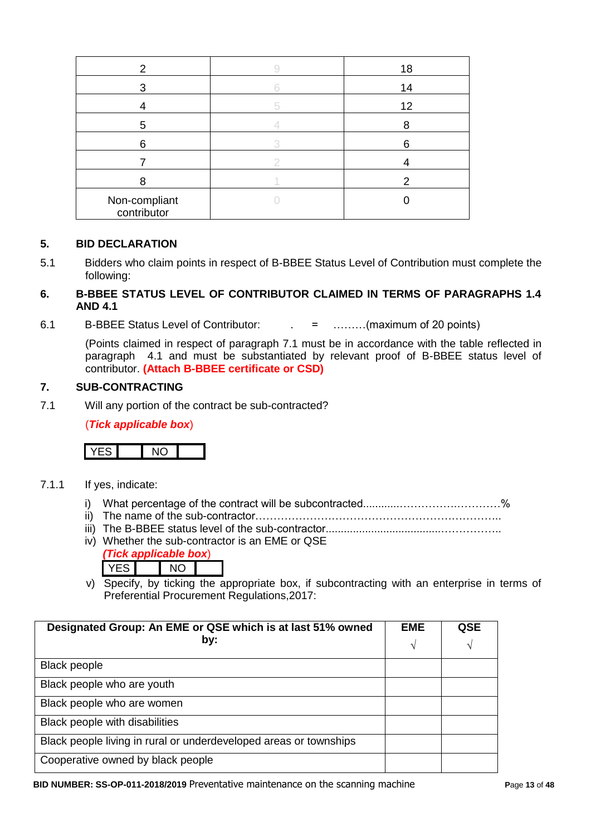| 2                            | 18 |
|------------------------------|----|
| 3                            | 14 |
|                              | 12 |
| 5                            |    |
| 6                            | Բ  |
|                              |    |
|                              |    |
| Non-compliant<br>contributor |    |

### **5. BID DECLARATION**

5.1 Bidders who claim points in respect of B-BBEE Status Level of Contribution must complete the following:

# **6. B-BBEE STATUS LEVEL OF CONTRIBUTOR CLAIMED IN TERMS OF PARAGRAPHS 1.4 AND 4.1**

6.1 B-BBEE Status Level of Contributor: . = ………(maximum of 20 points)

(Points claimed in respect of paragraph 7.1 must be in accordance with the table reflected in paragraph 4.1 and must be substantiated by relevant proof of B-BBEE status level of contributor. **(Attach B-BBEE certificate or CSD)**

### **7. SUB-CONTRACTING**

7.1 Will any portion of the contract be sub-contracted?

(*Tick applicable box*)



- 7.1.1 If yes, indicate:
	- i) What percentage of the contract will be subcontracted............…………….…………%
	- ii) The name of the sub-contractor…………………………………………………………..
	- iii) The B-BBEE status level of the sub-contractor......................................……………..
	- iv) Whether the sub-contractor is an EME or QSE *(Tick applicable box*)
		- YES NO
	- v) Specify, by ticking the appropriate box, if subcontracting with an enterprise in terms of Preferential Procurement Regulations,2017:

| Designated Group: An EME or QSE which is at last 51% owned        | <b>EME</b> | <b>QSE</b> |
|-------------------------------------------------------------------|------------|------------|
| by:                                                               | N          | V          |
| <b>Black people</b>                                               |            |            |
| Black people who are youth                                        |            |            |
| Black people who are women                                        |            |            |
| Black people with disabilities                                    |            |            |
| Black people living in rural or underdeveloped areas or townships |            |            |
| Cooperative owned by black people                                 |            |            |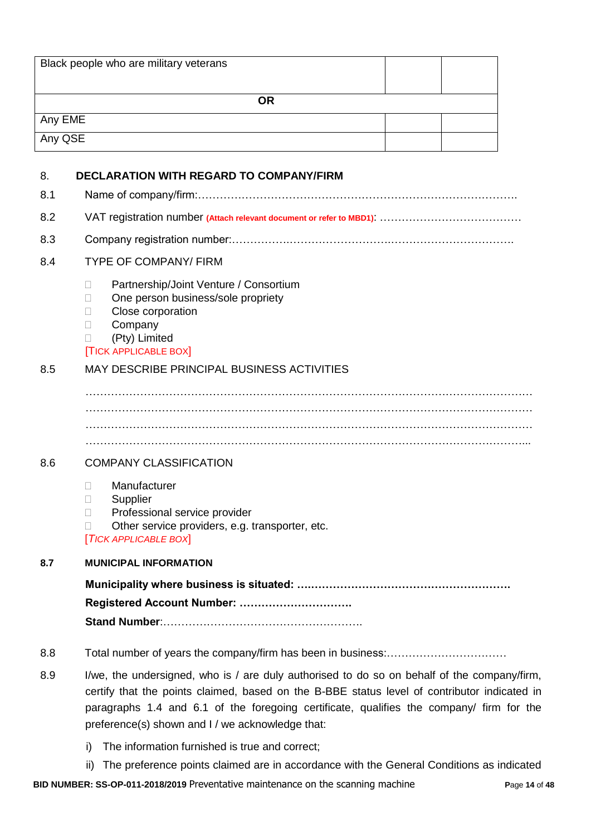|         | Black people who are military veterans                                                                                                                                                                                                                                                                                                      |
|---------|---------------------------------------------------------------------------------------------------------------------------------------------------------------------------------------------------------------------------------------------------------------------------------------------------------------------------------------------|
|         | <b>OR</b>                                                                                                                                                                                                                                                                                                                                   |
| Any EME |                                                                                                                                                                                                                                                                                                                                             |
| Any QSE |                                                                                                                                                                                                                                                                                                                                             |
|         |                                                                                                                                                                                                                                                                                                                                             |
| 8.      | <b>DECLARATION WITH REGARD TO COMPANY/FIRM</b>                                                                                                                                                                                                                                                                                              |
| 8.1     |                                                                                                                                                                                                                                                                                                                                             |
| 8.2     |                                                                                                                                                                                                                                                                                                                                             |
| 8.3     |                                                                                                                                                                                                                                                                                                                                             |
| 8.4     | <b>TYPE OF COMPANY/ FIRM</b>                                                                                                                                                                                                                                                                                                                |
|         | Partnership/Joint Venture / Consortium<br>$\Box$<br>One person business/sole propriety<br>П<br>Close corporation<br>П<br>Company<br>$\Box$<br>(Pty) Limited<br>$\mathbb{R}^n$<br><b>TICK APPLICABLE BOX</b>                                                                                                                                 |
| 8.5     | MAY DESCRIBE PRINCIPAL BUSINESS ACTIVITIES                                                                                                                                                                                                                                                                                                  |
| 8.6     | <b>COMPANY CLASSIFICATION</b><br>Manufacturer<br>П.<br>Supplier<br>П<br>Professional service provider<br>П<br>Other service providers, e.g. transporter, etc.<br>$\Box$                                                                                                                                                                     |
|         | <b>TICK APPLICABLE BOX</b>                                                                                                                                                                                                                                                                                                                  |
| 8.7     | <b>MUNICIPAL INFORMATION</b>                                                                                                                                                                                                                                                                                                                |
|         | Registered Account Number:                                                                                                                                                                                                                                                                                                                  |
| 8.8     |                                                                                                                                                                                                                                                                                                                                             |
| 8.9     | I/we, the undersigned, who is / are duly authorised to do so on behalf of the company/firm,<br>certify that the points claimed, based on the B-BBE status level of contributor indicated in<br>paragraphs 1.4 and 6.1 of the foregoing certificate, qualifies the company/ firm for the<br>preference(s) shown and I / we acknowledge that: |
|         | The information furnished is true and correct;<br>i)                                                                                                                                                                                                                                                                                        |

**BID NUMBER: SS-OP-011-2018/2019** Preventative maintenance on the scanning machine **P**age **14** of **48** ii) The preference points claimed are in accordance with the General Conditions as indicated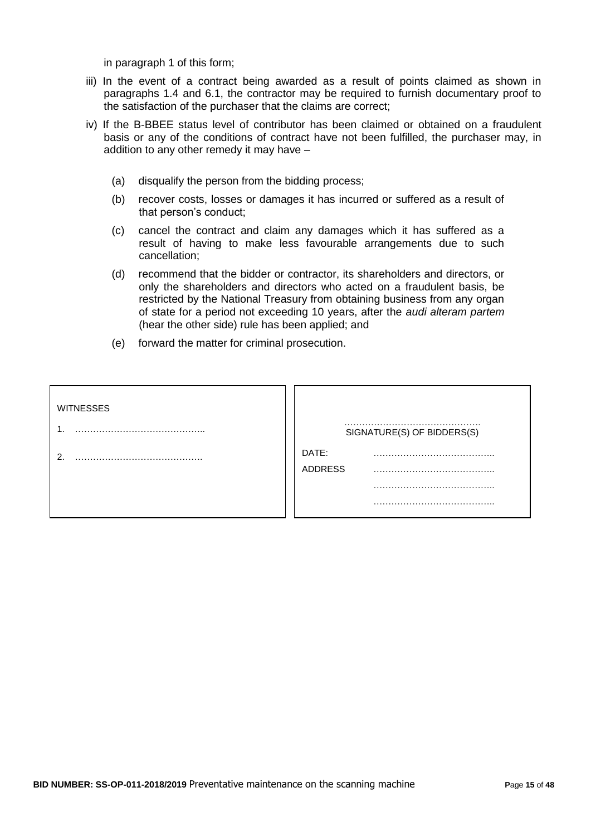in paragraph 1 of this form;

- iii) In the event of a contract being awarded as a result of points claimed as shown in paragraphs 1.4 and 6.1, the contractor may be required to furnish documentary proof to the satisfaction of the purchaser that the claims are correct;
- iv) If the B-BBEE status level of contributor has been claimed or obtained on a fraudulent basis or any of the conditions of contract have not been fulfilled, the purchaser may, in addition to any other remedy it may have –
	- (a) disqualify the person from the bidding process;
	- (b) recover costs, losses or damages it has incurred or suffered as a result of that person"s conduct;
	- (c) cancel the contract and claim any damages which it has suffered as a result of having to make less favourable arrangements due to such cancellation;
	- (d) recommend that the bidder or contractor, its shareholders and directors, or only the shareholders and directors who acted on a fraudulent basis, be restricted by the National Treasury from obtaining business from any organ of state for a period not exceeding 10 years, after the *audi alteram partem* (hear the other side) rule has been applied; and
	- (e) forward the matter for criminal prosecution.

| <b>WITNESSES</b> |                         |                            |
|------------------|-------------------------|----------------------------|
|                  |                         | SIGNATURE(S) OF BIDDERS(S) |
| ◠                | DATE:<br><b>ADDRESS</b> |                            |
|                  |                         |                            |
|                  |                         |                            |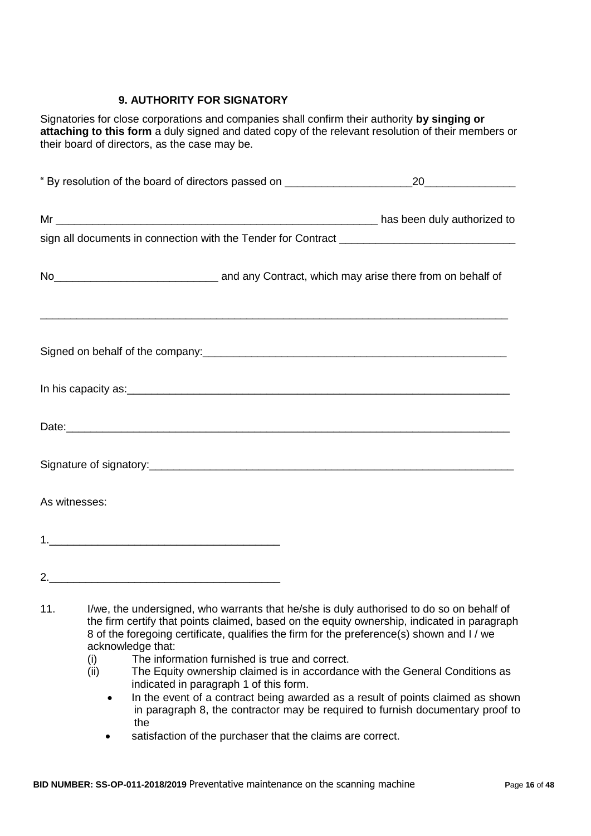# **9. AUTHORITY FOR SIGNATORY**

Signatories for close corporations and companies shall confirm their authority **by singing or attaching to this form** a duly signed and dated copy of the relevant resolution of their members or their board of directors, as the case may be.

| No <sub>_________________________________</sub> and any Contract, which may arise there from on behalf of |                                                                                                                                                                                         |
|-----------------------------------------------------------------------------------------------------------|-----------------------------------------------------------------------------------------------------------------------------------------------------------------------------------------|
|                                                                                                           |                                                                                                                                                                                         |
|                                                                                                           |                                                                                                                                                                                         |
|                                                                                                           |                                                                                                                                                                                         |
|                                                                                                           |                                                                                                                                                                                         |
| As witnesses:                                                                                             |                                                                                                                                                                                         |
|                                                                                                           |                                                                                                                                                                                         |
|                                                                                                           |                                                                                                                                                                                         |
| 11.                                                                                                       | I/we, the undersigned, who warrants that he/she is duly authorised to do so on behalf of<br>the firm certify that points claimed, based on the equity ownership, indicated in paragraph |

- 8 of the foregoing certificate, qualifies the firm for the preference(s) shown and I / we acknowledge that:
	- (i) The information furnished is true and correct.
	- (ii) The Equity ownership claimed is in accordance with the General Conditions as indicated in paragraph 1 of this form.
		- In the event of a contract being awarded as a result of points claimed as shown in paragraph 8, the contractor may be required to furnish documentary proof to the
		- satisfaction of the purchaser that the claims are correct.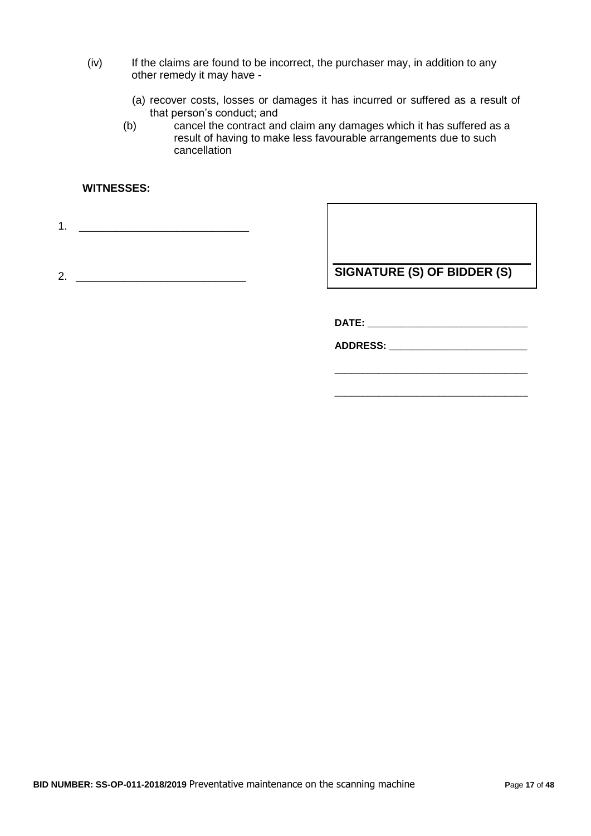- (iv) If the claims are found to be incorrect, the purchaser may, in addition to any other remedy it may have -
	- (a) recover costs, losses or damages it has incurred or suffered as a result of that person"s conduct; and
	- (b) cancel the contract and claim any damages which it has suffered as a result of having to make less favourable arrangements due to such cancellation

### **WITNESSES:**

1. <u>\_\_\_\_\_\_\_\_\_\_\_\_\_\_\_\_\_\_\_\_\_\_\_\_\_\_\_\_\_\_\_\_\_</u>

2. \_\_\_\_\_\_\_\_\_\_\_\_\_\_\_\_\_\_\_\_\_\_\_\_\_\_\_\_

**SIGNATURE (S) OF BIDDER (S)**

**DATE: \_\_\_\_\_\_\_\_\_\_\_\_\_\_\_\_\_\_\_\_\_\_\_\_\_\_\_\_\_**

**ADDRESS: \_\_\_\_\_\_\_\_\_\_\_\_\_\_\_\_\_\_\_\_\_\_\_\_\_**

\_\_\_\_\_\_\_\_\_\_\_\_\_\_\_\_\_\_\_\_\_\_\_\_\_\_\_\_\_\_\_\_\_\_\_

\_\_\_\_\_\_\_\_\_\_\_\_\_\_\_\_\_\_\_\_\_\_\_\_\_\_\_\_\_\_\_\_\_\_\_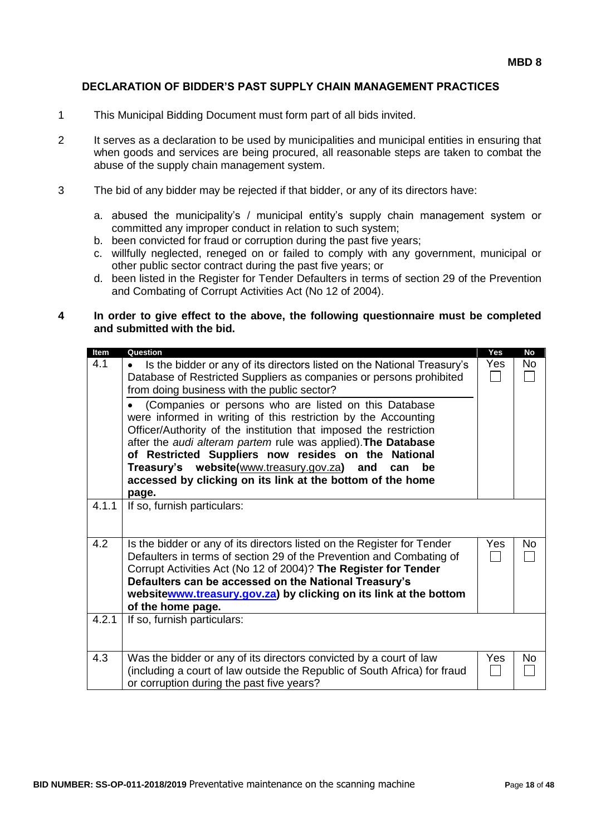#### **DECLARATION OF BIDDER'S PAST SUPPLY CHAIN MANAGEMENT PRACTICES**

- 1 This Municipal Bidding Document must form part of all bids invited.
- 2 It serves as a declaration to be used by municipalities and municipal entities in ensuring that when goods and services are being procured, all reasonable steps are taken to combat the abuse of the supply chain management system.
- 3 The bid of any bidder may be rejected if that bidder, or any of its directors have:
	- a. abused the municipality"s / municipal entity"s supply chain management system or committed any improper conduct in relation to such system;
	- b. been convicted for fraud or corruption during the past five years;
	- c. willfully neglected, reneged on or failed to comply with any government, municipal or other public sector contract during the past five years; or
	- d. been listed in the Register for Tender Defaulters in terms of section 29 of the Prevention and Combating of Corrupt Activities Act (No 12 of 2004).

#### **4 In order to give effect to the above, the following questionnaire must be completed and submitted with the bid.**

| Item  | Question                                                                                                                                        | Yes    | No        |
|-------|-------------------------------------------------------------------------------------------------------------------------------------------------|--------|-----------|
| 4.1   | Is the bidder or any of its directors listed on the National Treasury's<br>$\bullet$                                                            | Yes    | No.       |
|       | Database of Restricted Suppliers as companies or persons prohibited                                                                             | $\Box$ |           |
|       | from doing business with the public sector?                                                                                                     |        |           |
|       | (Companies or persons who are listed on this Database                                                                                           |        |           |
|       | were informed in writing of this restriction by the Accounting<br>Officer/Authority of the institution that imposed the restriction             |        |           |
|       | after the audi alteram partem rule was applied). The Database                                                                                   |        |           |
|       | of Restricted Suppliers now resides on the National                                                                                             |        |           |
|       | Treasury's website(www.treasury.gov.za) and<br>be<br>can                                                                                        |        |           |
|       | accessed by clicking on its link at the bottom of the home                                                                                      |        |           |
|       | page.                                                                                                                                           |        |           |
| 4.1.1 | If so, furnish particulars:                                                                                                                     |        |           |
|       |                                                                                                                                                 |        |           |
| 4.2   |                                                                                                                                                 | Yes    | <b>No</b> |
|       | Is the bidder or any of its directors listed on the Register for Tender<br>Defaulters in terms of section 29 of the Prevention and Combating of |        |           |
|       | Corrupt Activities Act (No 12 of 2004)? The Register for Tender                                                                                 |        |           |
|       | Defaulters can be accessed on the National Treasury's                                                                                           |        |           |
|       | websitewww.treasury.gov.za) by clicking on its link at the bottom                                                                               |        |           |
|       | of the home page.                                                                                                                               |        |           |
| 4.2.1 | If so, furnish particulars:                                                                                                                     |        |           |
|       |                                                                                                                                                 |        |           |
| 4.3   |                                                                                                                                                 |        |           |
|       | Was the bidder or any of its directors convicted by a court of law<br>(including a court of law outside the Republic of South Africa) for fraud | Yes    | No        |
|       | or corruption during the past five years?                                                                                                       |        |           |
|       |                                                                                                                                                 |        |           |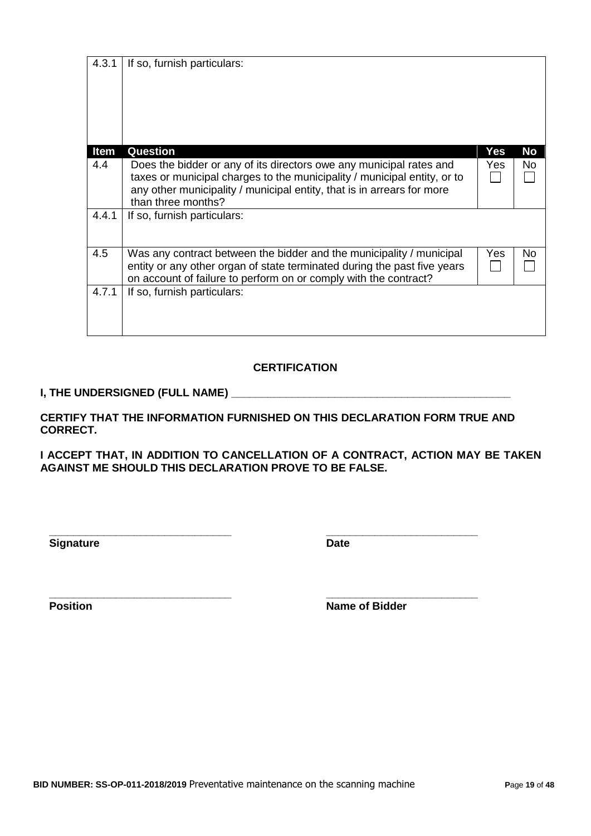| 4.3.1 | If so, furnish particulars:                                                                                                                                                                                                                     |     |           |
|-------|-------------------------------------------------------------------------------------------------------------------------------------------------------------------------------------------------------------------------------------------------|-----|-----------|
| Item  | <b>Question</b>                                                                                                                                                                                                                                 | Yes | <b>No</b> |
| 4.4   | Does the bidder or any of its directors owe any municipal rates and<br>taxes or municipal charges to the municipality / municipal entity, or to<br>any other municipality / municipal entity, that is in arrears for more<br>than three months? | Yes | No.       |
| 4.4.1 | If so, furnish particulars:                                                                                                                                                                                                                     |     |           |
| 4.5   | Was any contract between the bidder and the municipality / municipal<br>entity or any other organ of state terminated during the past five years<br>on account of failure to perform on or comply with the contract?                            | Yes | No        |
| 4.7.1 | If so, furnish particulars:                                                                                                                                                                                                                     |     |           |

### **CERTIFICATION**

### **I, THE UNDERSIGNED (FULL NAME)**

**CERTIFY THAT THE INFORMATION FURNISHED ON THIS DECLARATION FORM TRUE AND CORRECT.**

**I ACCEPT THAT, IN ADDITION TO CANCELLATION OF A CONTRACT, ACTION MAY BE TAKEN AGAINST ME SHOULD THIS DECLARATION PROVE TO BE FALSE.**

**Signature Date** 

**\_\_\_\_\_\_\_\_\_\_\_\_\_\_\_\_\_\_\_\_\_\_\_\_\_\_\_\_\_\_ \_\_\_\_\_\_\_\_\_\_\_\_\_\_\_\_\_\_\_\_\_\_\_\_\_**

**\_\_\_\_\_\_\_\_\_\_\_\_\_\_\_\_\_\_\_\_\_\_\_\_\_\_\_\_\_\_ \_\_\_\_\_\_\_\_\_\_\_\_\_\_\_\_\_\_\_\_\_\_\_\_\_ Position Name of Bidder**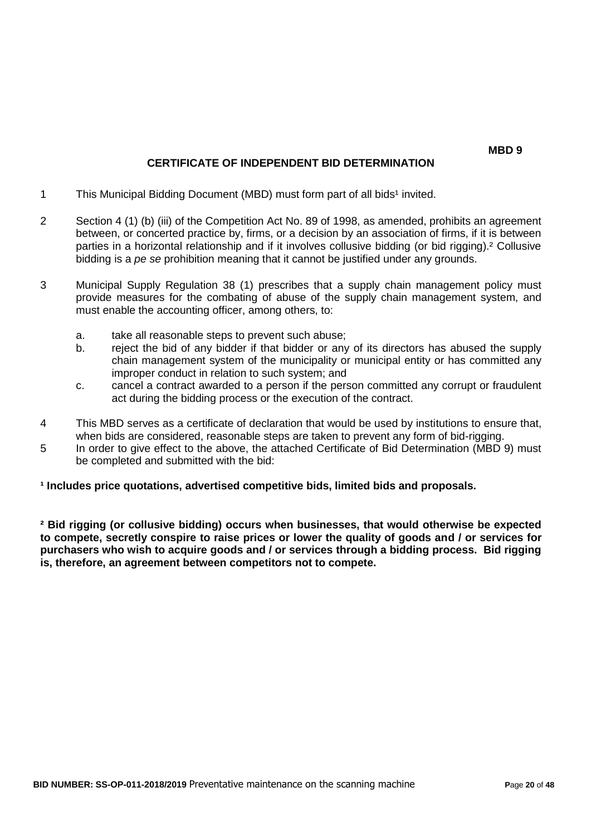#### **MBD 9**

### **CERTIFICATE OF INDEPENDENT BID DETERMINATION**

- 1 This Municipal Bidding Document (MBD) must form part of all bids<sup>1</sup> invited.
- 2 Section 4 (1) (b) (iii) of the Competition Act No. 89 of 1998, as amended, prohibits an agreement between, or concerted practice by, firms, or a decision by an association of firms, if it is between parties in a horizontal relationship and if it involves collusive bidding (or bid rigging).² Collusive bidding is a *pe se* prohibition meaning that it cannot be justified under any grounds.
- 3 Municipal Supply Regulation 38 (1) prescribes that a supply chain management policy must provide measures for the combating of abuse of the supply chain management system, and must enable the accounting officer, among others, to:
	- a. take all reasonable steps to prevent such abuse;
	- b. reject the bid of any bidder if that bidder or any of its directors has abused the supply chain management system of the municipality or municipal entity or has committed any improper conduct in relation to such system; and
	- c. cancel a contract awarded to a person if the person committed any corrupt or fraudulent act during the bidding process or the execution of the contract.
- 4 This MBD serves as a certificate of declaration that would be used by institutions to ensure that, when bids are considered, reasonable steps are taken to prevent any form of bid-rigging.
- 5 In order to give effect to the above, the attached Certificate of Bid Determination (MBD 9) must be completed and submitted with the bid:

### **¹ Includes price quotations, advertised competitive bids, limited bids and proposals.**

**² Bid rigging (or collusive bidding) occurs when businesses, that would otherwise be expected to compete, secretly conspire to raise prices or lower the quality of goods and / or services for purchasers who wish to acquire goods and / or services through a bidding process. Bid rigging is, therefore, an agreement between competitors not to compete.**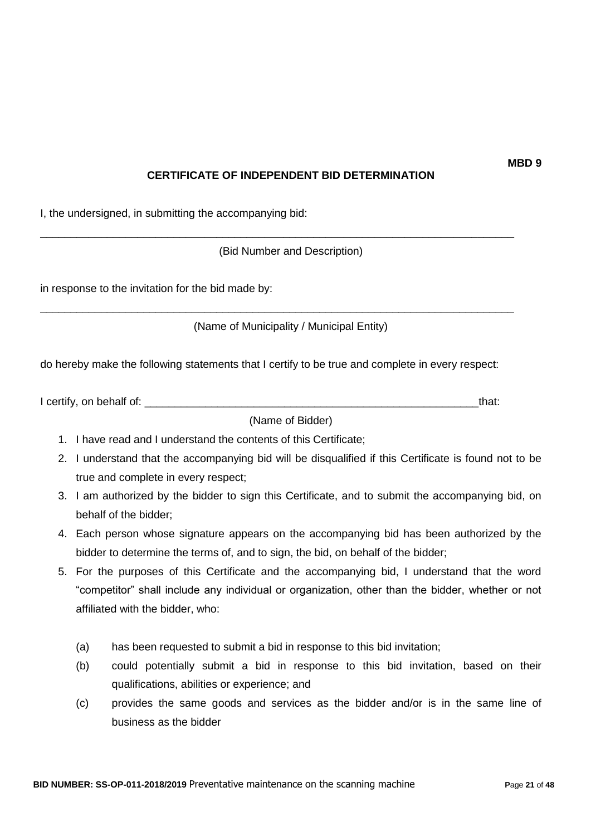# **CERTIFICATE OF INDEPENDENT BID DETERMINATION**

I, the undersigned, in submitting the accompanying bid:

(Bid Number and Description)

\_\_\_\_\_\_\_\_\_\_\_\_\_\_\_\_\_\_\_\_\_\_\_\_\_\_\_\_\_\_\_\_\_\_\_\_\_\_\_\_\_\_\_\_\_\_\_\_\_\_\_\_\_\_\_\_\_\_\_\_\_\_\_\_\_\_\_\_\_\_\_\_\_\_\_\_\_\_

\_\_\_\_\_\_\_\_\_\_\_\_\_\_\_\_\_\_\_\_\_\_\_\_\_\_\_\_\_\_\_\_\_\_\_\_\_\_\_\_\_\_\_\_\_\_\_\_\_\_\_\_\_\_\_\_\_\_\_\_\_\_\_\_\_\_\_\_\_\_\_\_\_\_\_\_\_\_

in response to the invitation for the bid made by:

(Name of Municipality / Municipal Entity)

do hereby make the following statements that I certify to be true and complete in every respect:

| I certify, on behalf of: |  |
|--------------------------|--|
|                          |  |

(Name of Bidder)

- 1. I have read and I understand the contents of this Certificate;
- 2. I understand that the accompanying bid will be disqualified if this Certificate is found not to be true and complete in every respect;
- 3. I am authorized by the bidder to sign this Certificate, and to submit the accompanying bid, on behalf of the bidder;
- 4. Each person whose signature appears on the accompanying bid has been authorized by the bidder to determine the terms of, and to sign, the bid, on behalf of the bidder;
- 5. For the purposes of this Certificate and the accompanying bid, I understand that the word "competitor" shall include any individual or organization, other than the bidder, whether or not affiliated with the bidder, who:
	- (a) has been requested to submit a bid in response to this bid invitation;
	- (b) could potentially submit a bid in response to this bid invitation, based on their qualifications, abilities or experience; and
	- (c) provides the same goods and services as the bidder and/or is in the same line of business as the bidder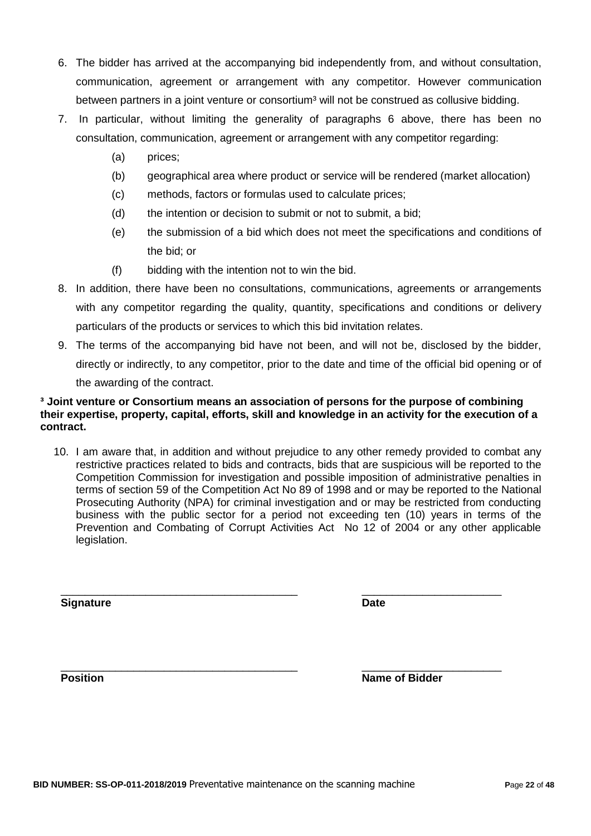- 6. The bidder has arrived at the accompanying bid independently from, and without consultation, communication, agreement or arrangement with any competitor. However communication between partners in a joint venture or consortium<sup>3</sup> will not be construed as collusive bidding.
- 7. In particular, without limiting the generality of paragraphs 6 above, there has been no consultation, communication, agreement or arrangement with any competitor regarding:
	- (a) prices;
	- (b) geographical area where product or service will be rendered (market allocation)
	- (c) methods, factors or formulas used to calculate prices;
	- (d) the intention or decision to submit or not to submit, a bid;
	- (e) the submission of a bid which does not meet the specifications and conditions of the bid; or
	- (f) bidding with the intention not to win the bid.
- 8. In addition, there have been no consultations, communications, agreements or arrangements with any competitor regarding the quality, quantity, specifications and conditions or delivery particulars of the products or services to which this bid invitation relates.
- 9. The terms of the accompanying bid have not been, and will not be, disclosed by the bidder, directly or indirectly, to any competitor, prior to the date and time of the official bid opening or of the awarding of the contract.

### **³ Joint venture or Consortium means an association of persons for the purpose of combining their expertise, property, capital, efforts, skill and knowledge in an activity for the execution of a contract.**

10. I am aware that, in addition and without prejudice to any other remedy provided to combat any restrictive practices related to bids and contracts, bids that are suspicious will be reported to the Competition Commission for investigation and possible imposition of administrative penalties in terms of section 59 of the Competition Act No 89 of 1998 and or may be reported to the National Prosecuting Authority (NPA) for criminal investigation and or may be restricted from conducting business with the public sector for a period not exceeding ten (10) years in terms of the Prevention and Combating of Corrupt Activities Act No 12 of 2004 or any other applicable legislation.

\_\_\_\_\_\_\_\_\_\_\_\_\_\_\_\_\_\_\_\_\_\_\_\_\_\_\_\_\_\_\_\_\_\_\_\_\_\_\_ \_\_\_\_\_\_\_\_\_\_\_\_\_\_\_\_\_\_\_\_\_\_\_

\_\_\_\_\_\_\_\_\_\_\_\_\_\_\_\_\_\_\_\_\_\_\_\_\_\_\_\_\_\_\_\_\_\_\_\_\_\_\_ \_\_\_\_\_\_\_\_\_\_\_\_\_\_\_\_\_\_\_\_\_\_\_

**Signature Date**

**Position Name of Bidder**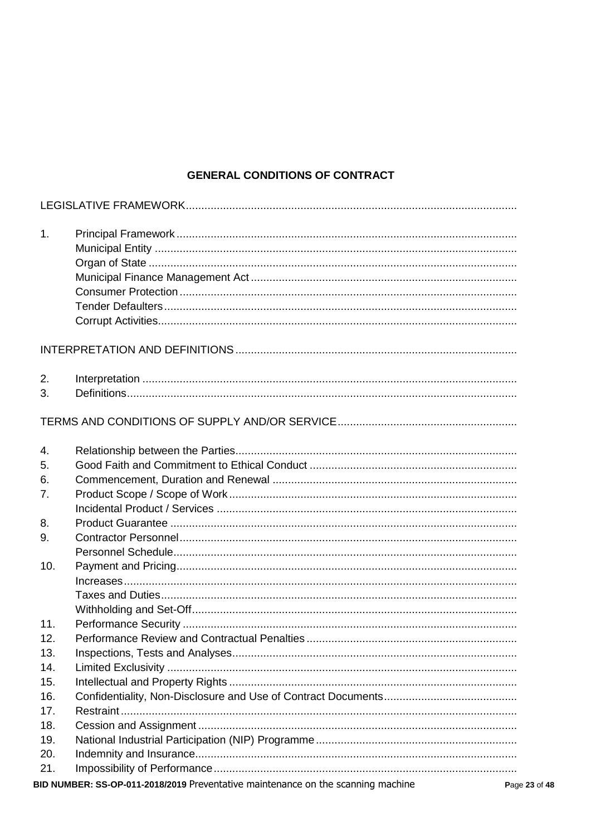# **GENERAL CONDITIONS OF CONTRACT**

| 1.       |                                                                                          |
|----------|------------------------------------------------------------------------------------------|
|          |                                                                                          |
|          |                                                                                          |
| 2.<br>3. |                                                                                          |
|          |                                                                                          |
| 4.       |                                                                                          |
| 5.       |                                                                                          |
| 6.       |                                                                                          |
| 7.       |                                                                                          |
|          |                                                                                          |
| 8.       |                                                                                          |
| 9.       |                                                                                          |
|          |                                                                                          |
| 10.      |                                                                                          |
|          |                                                                                          |
|          |                                                                                          |
|          |                                                                                          |
| 11.      |                                                                                          |
| 12.      |                                                                                          |
| 13.      |                                                                                          |
| 14.      |                                                                                          |
| 15.      |                                                                                          |
| 16.      |                                                                                          |
| 17.      |                                                                                          |
| 18.      |                                                                                          |
| 19.      |                                                                                          |
| 20.      |                                                                                          |
| 21.      |                                                                                          |
|          | BID NUMBER: SS-OP-011-2018/2019 Preventative maintenance on the scanning machine<br>Page |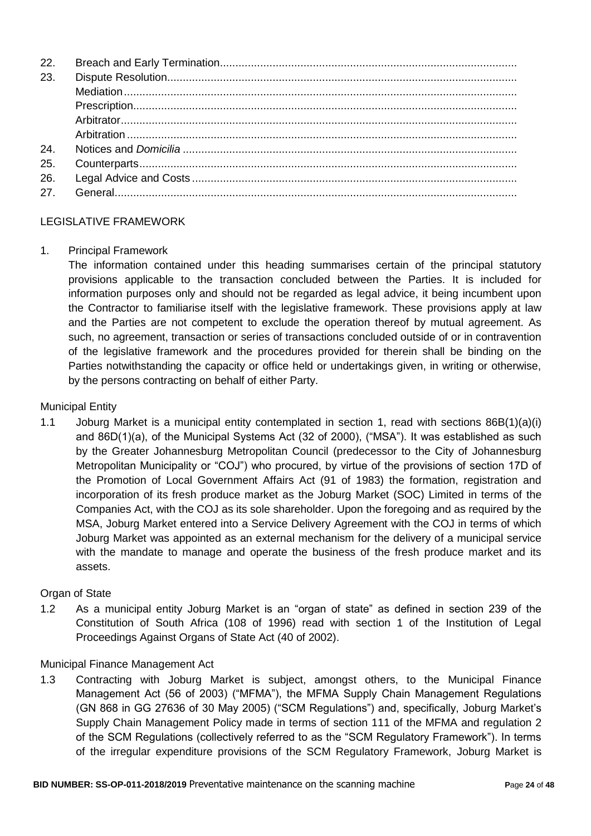| 22. |  |
|-----|--|
| 23. |  |
|     |  |
|     |  |
|     |  |
|     |  |
| 24. |  |
| 25. |  |
| 26. |  |
| 27. |  |
|     |  |

### LEGISLATIVE FRAMEWORK

### 1. Principal Framework

The information contained under this heading summarises certain of the principal statutory provisions applicable to the transaction concluded between the Parties. It is included for information purposes only and should not be regarded as legal advice, it being incumbent upon the Contractor to familiarise itself with the legislative framework. These provisions apply at law and the Parties are not competent to exclude the operation thereof by mutual agreement. As such, no agreement, transaction or series of transactions concluded outside of or in contravention of the legislative framework and the procedures provided for therein shall be binding on the Parties notwithstanding the capacity or office held or undertakings given, in writing or otherwise, by the persons contracting on behalf of either Party.

### Municipal Entity

1.1 Joburg Market is a municipal entity contemplated in section 1, read with sections 86B(1)(a)(i) and 86D(1)(a), of the Municipal Systems Act (32 of 2000), ("MSA"). It was established as such by the Greater Johannesburg Metropolitan Council (predecessor to the City of Johannesburg Metropolitan Municipality or "COJ") who procured, by virtue of the provisions of section 17D of the Promotion of Local Government Affairs Act (91 of 1983) the formation, registration and incorporation of its fresh produce market as the Joburg Market (SOC) Limited in terms of the Companies Act, with the COJ as its sole shareholder. Upon the foregoing and as required by the MSA, Joburg Market entered into a Service Delivery Agreement with the COJ in terms of which Joburg Market was appointed as an external mechanism for the delivery of a municipal service with the mandate to manage and operate the business of the fresh produce market and its assets.

### Organ of State

1.2 As a municipal entity Joburg Market is an "organ of state" as defined in section 239 of the Constitution of South Africa (108 of 1996) read with section 1 of the Institution of Legal Proceedings Against Organs of State Act (40 of 2002).

### Municipal Finance Management Act

1.3 Contracting with Joburg Market is subject, amongst others, to the Municipal Finance Management Act (56 of 2003) ("MFMA"), the MFMA Supply Chain Management Regulations (GN 868 in GG 27636 of 30 May 2005) ("SCM Regulations") and, specifically, Joburg Market"s Supply Chain Management Policy made in terms of section 111 of the MFMA and regulation 2 of the SCM Regulations (collectively referred to as the "SCM Regulatory Framework"). In terms of the irregular expenditure provisions of the SCM Regulatory Framework, Joburg Market is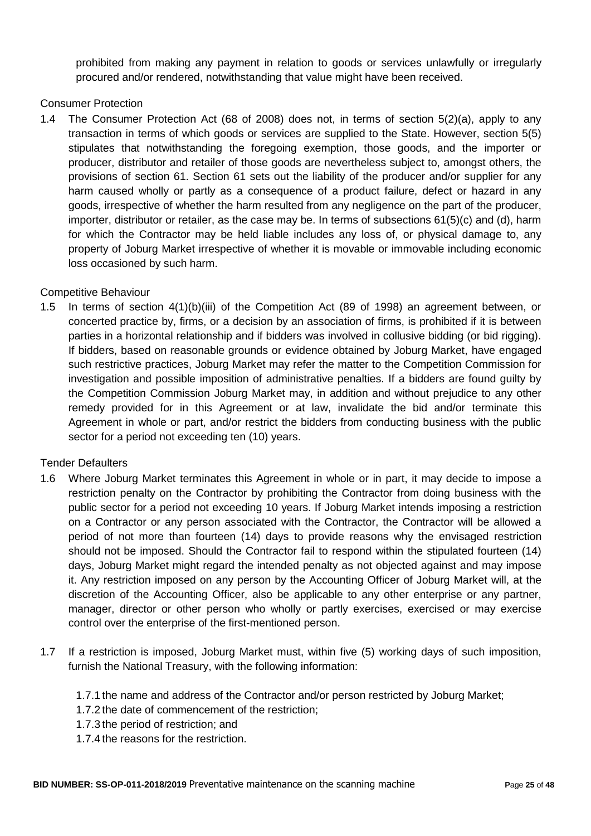prohibited from making any payment in relation to goods or services unlawfully or irregularly procured and/or rendered, notwithstanding that value might have been received.

### Consumer Protection

1.4 The Consumer Protection Act (68 of 2008) does not, in terms of section 5(2)(a), apply to any transaction in terms of which goods or services are supplied to the State. However, section 5(5) stipulates that notwithstanding the foregoing exemption, those goods, and the importer or producer, distributor and retailer of those goods are nevertheless subject to, amongst others, the provisions of section 61. Section 61 sets out the liability of the producer and/or supplier for any harm caused wholly or partly as a consequence of a product failure, defect or hazard in any goods, irrespective of whether the harm resulted from any negligence on the part of the producer, importer, distributor or retailer, as the case may be. In terms of subsections 61(5)(c) and (d), harm for which the Contractor may be held liable includes any loss of, or physical damage to, any property of Joburg Market irrespective of whether it is movable or immovable including economic loss occasioned by such harm.

### Competitive Behaviour

1.5 In terms of section 4(1)(b)(iii) of the Competition Act (89 of 1998) an agreement between, or concerted practice by, firms, or a decision by an association of firms, is prohibited if it is between parties in a horizontal relationship and if bidders was involved in collusive bidding (or bid rigging). If bidders, based on reasonable grounds or evidence obtained by Joburg Market, have engaged such restrictive practices, Joburg Market may refer the matter to the Competition Commission for investigation and possible imposition of administrative penalties. If a bidders are found guilty by the Competition Commission Joburg Market may, in addition and without prejudice to any other remedy provided for in this Agreement or at law, invalidate the bid and/or terminate this Agreement in whole or part, and/or restrict the bidders from conducting business with the public sector for a period not exceeding ten (10) years.

### Tender Defaulters

- 1.6 Where Joburg Market terminates this Agreement in whole or in part, it may decide to impose a restriction penalty on the Contractor by prohibiting the Contractor from doing business with the public sector for a period not exceeding 10 years. If Joburg Market intends imposing a restriction on a Contractor or any person associated with the Contractor, the Contractor will be allowed a period of not more than fourteen (14) days to provide reasons why the envisaged restriction should not be imposed. Should the Contractor fail to respond within the stipulated fourteen (14) days, Joburg Market might regard the intended penalty as not objected against and may impose it. Any restriction imposed on any person by the Accounting Officer of Joburg Market will, at the discretion of the Accounting Officer, also be applicable to any other enterprise or any partner, manager, director or other person who wholly or partly exercises, exercised or may exercise control over the enterprise of the first-mentioned person.
- 1.7 If a restriction is imposed, Joburg Market must, within five (5) working days of such imposition, furnish the National Treasury, with the following information:
	- 1.7.1 the name and address of the Contractor and/or person restricted by Joburg Market;
	- 1.7.2 the date of commencement of the restriction;
	- 1.7.3 the period of restriction; and
	- 1.7.4 the reasons for the restriction.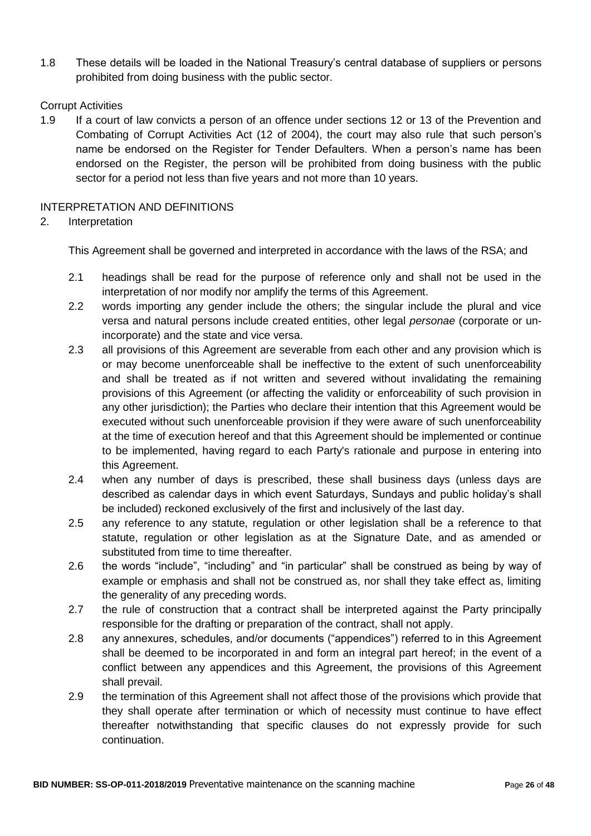1.8 These details will be loaded in the National Treasury"s central database of suppliers or persons prohibited from doing business with the public sector.

#### Corrupt Activities

1.9 If a court of law convicts a person of an offence under sections 12 or 13 of the Prevention and Combating of Corrupt Activities Act (12 of 2004), the court may also rule that such person"s name be endorsed on the Register for Tender Defaulters. When a person"s name has been endorsed on the Register, the person will be prohibited from doing business with the public sector for a period not less than five years and not more than 10 years.

#### INTERPRETATION AND DEFINITIONS

#### 2. Interpretation

This Agreement shall be governed and interpreted in accordance with the laws of the RSA; and

- 2.1 headings shall be read for the purpose of reference only and shall not be used in the interpretation of nor modify nor amplify the terms of this Agreement.
- 2.2 words importing any gender include the others; the singular include the plural and vice versa and natural persons include created entities, other legal *personae* (corporate or unincorporate) and the state and vice versa.
- 2.3 all provisions of this Agreement are severable from each other and any provision which is or may become unenforceable shall be ineffective to the extent of such unenforceability and shall be treated as if not written and severed without invalidating the remaining provisions of this Agreement (or affecting the validity or enforceability of such provision in any other jurisdiction); the Parties who declare their intention that this Agreement would be executed without such unenforceable provision if they were aware of such unenforceability at the time of execution hereof and that this Agreement should be implemented or continue to be implemented, having regard to each Party's rationale and purpose in entering into this Agreement.
- 2.4 when any number of days is prescribed, these shall business days (unless days are described as calendar days in which event Saturdays, Sundays and public holiday"s shall be included) reckoned exclusively of the first and inclusively of the last day.
- 2.5 any reference to any statute, regulation or other legislation shall be a reference to that statute, regulation or other legislation as at the Signature Date, and as amended or substituted from time to time thereafter.
- 2.6 the words "include", "including" and "in particular" shall be construed as being by way of example or emphasis and shall not be construed as, nor shall they take effect as, limiting the generality of any preceding words.
- 2.7 the rule of construction that a contract shall be interpreted against the Party principally responsible for the drafting or preparation of the contract, shall not apply.
- 2.8 any annexures, schedules, and/or documents ("appendices") referred to in this Agreement shall be deemed to be incorporated in and form an integral part hereof; in the event of a conflict between any appendices and this Agreement, the provisions of this Agreement shall prevail.
- 2.9 the termination of this Agreement shall not affect those of the provisions which provide that they shall operate after termination or which of necessity must continue to have effect thereafter notwithstanding that specific clauses do not expressly provide for such continuation.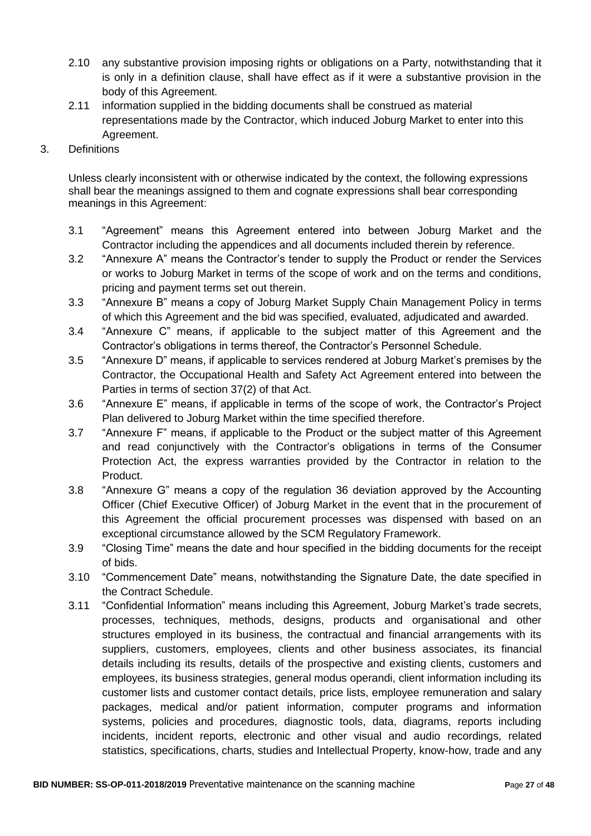- 2.10 any substantive provision imposing rights or obligations on a Party, notwithstanding that it is only in a definition clause, shall have effect as if it were a substantive provision in the body of this Agreement.
- 2.11 information supplied in the bidding documents shall be construed as material representations made by the Contractor, which induced Joburg Market to enter into this Agreement.
- 3. Definitions

Unless clearly inconsistent with or otherwise indicated by the context, the following expressions shall bear the meanings assigned to them and cognate expressions shall bear corresponding meanings in this Agreement:

- 3.1 "Agreement" means this Agreement entered into between Joburg Market and the Contractor including the appendices and all documents included therein by reference.
- 3.2 "Annexure A" means the Contractor"s tender to supply the Product or render the Services or works to Joburg Market in terms of the scope of work and on the terms and conditions, pricing and payment terms set out therein.
- 3.3 "Annexure B" means a copy of Joburg Market Supply Chain Management Policy in terms of which this Agreement and the bid was specified, evaluated, adjudicated and awarded.
- 3.4 "Annexure C" means, if applicable to the subject matter of this Agreement and the Contractor"s obligations in terms thereof, the Contractor"s Personnel Schedule.
- 3.5 "Annexure D" means, if applicable to services rendered at Joburg Market's premises by the Contractor, the Occupational Health and Safety Act Agreement entered into between the Parties in terms of section 37(2) of that Act.
- 3.6 "Annexure E" means, if applicable in terms of the scope of work, the Contractor"s Project Plan delivered to Joburg Market within the time specified therefore.
- 3.7 "Annexure F" means, if applicable to the Product or the subject matter of this Agreement and read conjunctively with the Contractor"s obligations in terms of the Consumer Protection Act, the express warranties provided by the Contractor in relation to the Product.
- 3.8 "Annexure G" means a copy of the regulation 36 deviation approved by the Accounting Officer (Chief Executive Officer) of Joburg Market in the event that in the procurement of this Agreement the official procurement processes was dispensed with based on an exceptional circumstance allowed by the SCM Regulatory Framework.
- 3.9 "Closing Time" means the date and hour specified in the bidding documents for the receipt of bids.
- 3.10 "Commencement Date" means, notwithstanding the Signature Date, the date specified in the Contract Schedule.
- 3.11 "Confidential Information" means including this Agreement, Joburg Market's trade secrets, processes, techniques, methods, designs, products and organisational and other structures employed in its business, the contractual and financial arrangements with its suppliers, customers, employees, clients and other business associates, its financial details including its results, details of the prospective and existing clients, customers and employees, its business strategies, general modus operandi, client information including its customer lists and customer contact details, price lists, employee remuneration and salary packages, medical and/or patient information, computer programs and information systems, policies and procedures, diagnostic tools, data, diagrams, reports including incidents, incident reports, electronic and other visual and audio recordings, related statistics, specifications, charts, studies and Intellectual Property, know-how, trade and any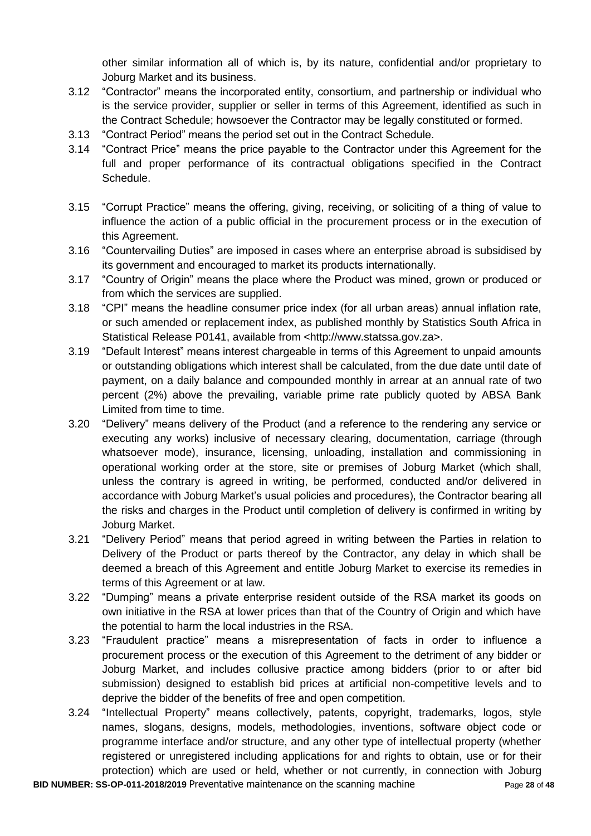other similar information all of which is, by its nature, confidential and/or proprietary to Joburg Market and its business.

- 3.12 "Contractor" means the incorporated entity, consortium, and partnership or individual who is the service provider, supplier or seller in terms of this Agreement, identified as such in the Contract Schedule; howsoever the Contractor may be legally constituted or formed.
- 3.13 "Contract Period" means the period set out in the Contract Schedule.
- 3.14 "Contract Price" means the price payable to the Contractor under this Agreement for the full and proper performance of its contractual obligations specified in the Contract Schedule.
- 3.15 "Corrupt Practice" means the offering, giving, receiving, or soliciting of a thing of value to influence the action of a public official in the procurement process or in the execution of this Agreement.
- 3.16 "Countervailing Duties" are imposed in cases where an enterprise abroad is subsidised by its government and encouraged to market its products internationally.
- 3.17 "Country of Origin" means the place where the Product was mined, grown or produced or from which the services are supplied.
- 3.18 "CPI" means the headline consumer price index (for all urban areas) annual inflation rate, or such amended or replacement index, as published monthly by Statistics South Africa in Statistical Release P0141, available from <http://www.statssa.gov.za>.
- 3.19 "Default Interest" means interest chargeable in terms of this Agreement to unpaid amounts or outstanding obligations which interest shall be calculated, from the due date until date of payment, on a daily balance and compounded monthly in arrear at an annual rate of two percent (2%) above the prevailing, variable prime rate publicly quoted by ABSA Bank Limited from time to time.
- 3.20 "Delivery" means delivery of the Product (and a reference to the rendering any service or executing any works) inclusive of necessary clearing, documentation, carriage (through whatsoever mode), insurance, licensing, unloading, installation and commissioning in operational working order at the store, site or premises of Joburg Market (which shall, unless the contrary is agreed in writing, be performed, conducted and/or delivered in accordance with Joburg Market's usual policies and procedures), the Contractor bearing all the risks and charges in the Product until completion of delivery is confirmed in writing by Joburg Market.
- 3.21 "Delivery Period" means that period agreed in writing between the Parties in relation to Delivery of the Product or parts thereof by the Contractor, any delay in which shall be deemed a breach of this Agreement and entitle Joburg Market to exercise its remedies in terms of this Agreement or at law.
- 3.22 "Dumping" means a private enterprise resident outside of the RSA market its goods on own initiative in the RSA at lower prices than that of the Country of Origin and which have the potential to harm the local industries in the RSA.
- 3.23 "Fraudulent practice" means a misrepresentation of facts in order to influence a procurement process or the execution of this Agreement to the detriment of any bidder or Joburg Market, and includes collusive practice among bidders (prior to or after bid submission) designed to establish bid prices at artificial non-competitive levels and to deprive the bidder of the benefits of free and open competition.
- 3.24 "Intellectual Property" means collectively, patents, copyright, trademarks, logos, style names, slogans, designs, models, methodologies, inventions, software object code or programme interface and/or structure, and any other type of intellectual property (whether registered or unregistered including applications for and rights to obtain, use or for their protection) which are used or held, whether or not currently, in connection with Joburg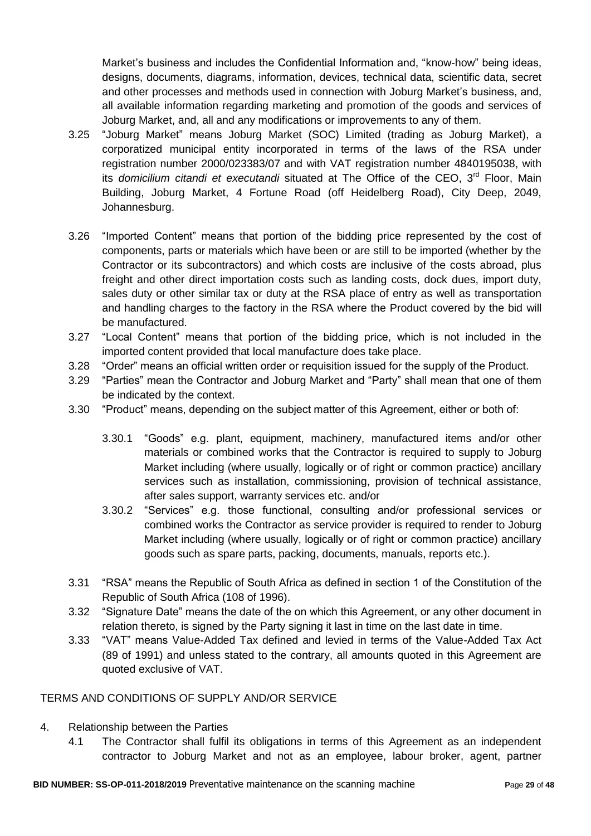Market's business and includes the Confidential Information and, "know-how" being ideas, designs, documents, diagrams, information, devices, technical data, scientific data, secret and other processes and methods used in connection with Joburg Market"s business, and, all available information regarding marketing and promotion of the goods and services of Joburg Market, and, all and any modifications or improvements to any of them.

- 3.25 "Joburg Market" means Joburg Market (SOC) Limited (trading as Joburg Market), a corporatized municipal entity incorporated in terms of the laws of the RSA under registration number 2000/023383/07 and with VAT registration number 4840195038, with its *domicilium citandi et executandi* situated at The Office of the CEO, 3<sup>rd</sup> Floor, Main Building, Joburg Market, 4 Fortune Road (off Heidelberg Road), City Deep, 2049, Johannesburg.
- 3.26 "Imported Content" means that portion of the bidding price represented by the cost of components, parts or materials which have been or are still to be imported (whether by the Contractor or its subcontractors) and which costs are inclusive of the costs abroad, plus freight and other direct importation costs such as landing costs, dock dues, import duty, sales duty or other similar tax or duty at the RSA place of entry as well as transportation and handling charges to the factory in the RSA where the Product covered by the bid will be manufactured.
- 3.27 "Local Content" means that portion of the bidding price, which is not included in the imported content provided that local manufacture does take place.
- 3.28 "Order" means an official written order or requisition issued for the supply of the Product.
- 3.29 "Parties" mean the Contractor and Joburg Market and "Party" shall mean that one of them be indicated by the context.
- 3.30 "Product" means, depending on the subject matter of this Agreement, either or both of:
	- 3.30.1 "Goods" e.g. plant, equipment, machinery, manufactured items and/or other materials or combined works that the Contractor is required to supply to Joburg Market including (where usually, logically or of right or common practice) ancillary services such as installation, commissioning, provision of technical assistance, after sales support, warranty services etc. and/or
	- 3.30.2 "Services" e.g. those functional, consulting and/or professional services or combined works the Contractor as service provider is required to render to Joburg Market including (where usually, logically or of right or common practice) ancillary goods such as spare parts, packing, documents, manuals, reports etc.).
- 3.31 "RSA" means the Republic of South Africa as defined in section 1 of the Constitution of the Republic of South Africa (108 of 1996).
- 3.32 "Signature Date" means the date of the on which this Agreement, or any other document in relation thereto, is signed by the Party signing it last in time on the last date in time.
- 3.33 "VAT" means Value-Added Tax defined and levied in terms of the Value-Added Tax Act (89 of 1991) and unless stated to the contrary, all amounts quoted in this Agreement are quoted exclusive of VAT.

### TERMS AND CONDITIONS OF SUPPLY AND/OR SERVICE

- 4. Relationship between the Parties
	- 4.1 The Contractor shall fulfil its obligations in terms of this Agreement as an independent contractor to Joburg Market and not as an employee, labour broker, agent, partner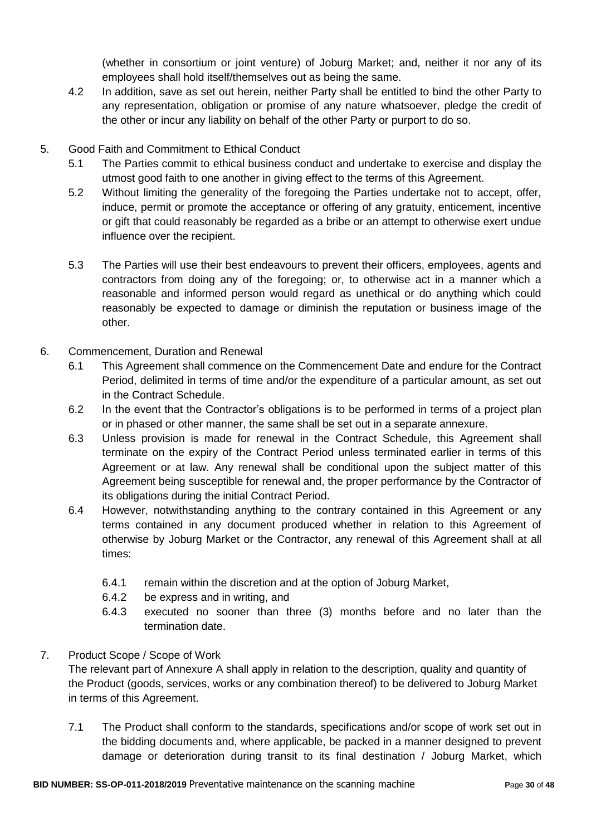(whether in consortium or joint venture) of Joburg Market; and, neither it nor any of its employees shall hold itself/themselves out as being the same.

- 4.2 In addition, save as set out herein, neither Party shall be entitled to bind the other Party to any representation, obligation or promise of any nature whatsoever, pledge the credit of the other or incur any liability on behalf of the other Party or purport to do so.
- 5. Good Faith and Commitment to Ethical Conduct
	- 5.1 The Parties commit to ethical business conduct and undertake to exercise and display the utmost good faith to one another in giving effect to the terms of this Agreement.
	- 5.2 Without limiting the generality of the foregoing the Parties undertake not to accept, offer, induce, permit or promote the acceptance or offering of any gratuity, enticement, incentive or gift that could reasonably be regarded as a bribe or an attempt to otherwise exert undue influence over the recipient.
	- 5.3 The Parties will use their best endeavours to prevent their officers, employees, agents and contractors from doing any of the foregoing; or, to otherwise act in a manner which a reasonable and informed person would regard as unethical or do anything which could reasonably be expected to damage or diminish the reputation or business image of the other.
- 6. Commencement, Duration and Renewal
	- 6.1 This Agreement shall commence on the Commencement Date and endure for the Contract Period, delimited in terms of time and/or the expenditure of a particular amount, as set out in the Contract Schedule.
	- 6.2 In the event that the Contractor"s obligations is to be performed in terms of a project plan or in phased or other manner, the same shall be set out in a separate annexure.
	- 6.3 Unless provision is made for renewal in the Contract Schedule, this Agreement shall terminate on the expiry of the Contract Period unless terminated earlier in terms of this Agreement or at law. Any renewal shall be conditional upon the subject matter of this Agreement being susceptible for renewal and, the proper performance by the Contractor of its obligations during the initial Contract Period.
	- 6.4 However, notwithstanding anything to the contrary contained in this Agreement or any terms contained in any document produced whether in relation to this Agreement of otherwise by Joburg Market or the Contractor, any renewal of this Agreement shall at all times:
		- 6.4.1 remain within the discretion and at the option of Joburg Market,
		- 6.4.2 be express and in writing, and
		- 6.4.3 executed no sooner than three (3) months before and no later than the termination date.

### 7. Product Scope / Scope of Work

The relevant part of Annexure A shall apply in relation to the description, quality and quantity of the Product (goods, services, works or any combination thereof) to be delivered to Joburg Market in terms of this Agreement.

7.1 The Product shall conform to the standards, specifications and/or scope of work set out in the bidding documents and, where applicable, be packed in a manner designed to prevent damage or deterioration during transit to its final destination / Joburg Market, which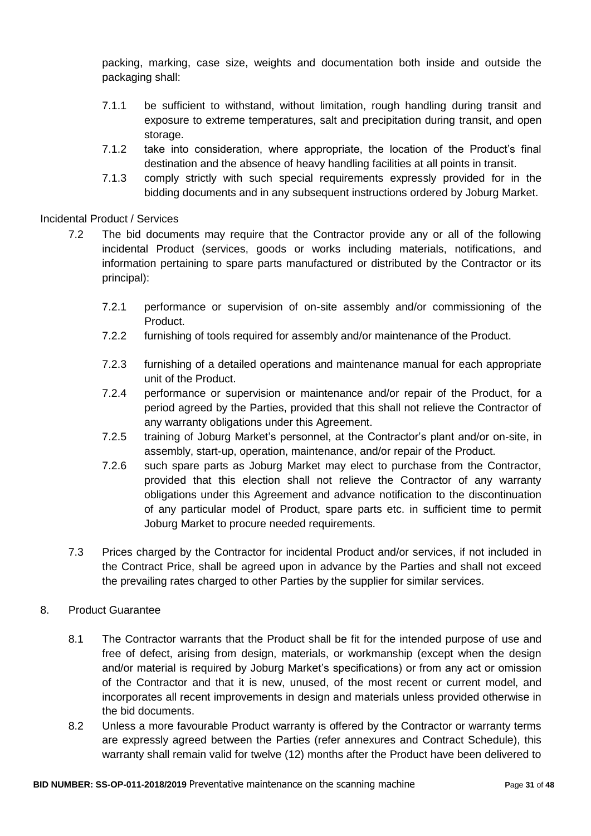packing, marking, case size, weights and documentation both inside and outside the packaging shall:

- 7.1.1 be sufficient to withstand, without limitation, rough handling during transit and exposure to extreme temperatures, salt and precipitation during transit, and open storage.
- 7.1.2 take into consideration, where appropriate, the location of the Product's final destination and the absence of heavy handling facilities at all points in transit.
- 7.1.3 comply strictly with such special requirements expressly provided for in the bidding documents and in any subsequent instructions ordered by Joburg Market.

Incidental Product / Services

- 7.2 The bid documents may require that the Contractor provide any or all of the following incidental Product (services, goods or works including materials, notifications, and information pertaining to spare parts manufactured or distributed by the Contractor or its principal):
	- 7.2.1 performance or supervision of on-site assembly and/or commissioning of the Product.
	- 7.2.2 furnishing of tools required for assembly and/or maintenance of the Product.
	- 7.2.3 furnishing of a detailed operations and maintenance manual for each appropriate unit of the Product.
	- 7.2.4 performance or supervision or maintenance and/or repair of the Product, for a period agreed by the Parties, provided that this shall not relieve the Contractor of any warranty obligations under this Agreement.
	- 7.2.5 training of Joburg Market's personnel, at the Contractor's plant and/or on-site, in assembly, start-up, operation, maintenance, and/or repair of the Product.
	- 7.2.6 such spare parts as Joburg Market may elect to purchase from the Contractor, provided that this election shall not relieve the Contractor of any warranty obligations under this Agreement and advance notification to the discontinuation of any particular model of Product, spare parts etc. in sufficient time to permit Joburg Market to procure needed requirements.
- 7.3 Prices charged by the Contractor for incidental Product and/or services, if not included in the Contract Price, shall be agreed upon in advance by the Parties and shall not exceed the prevailing rates charged to other Parties by the supplier for similar services.

# 8. Product Guarantee

- 8.1 The Contractor warrants that the Product shall be fit for the intended purpose of use and free of defect, arising from design, materials, or workmanship (except when the design and/or material is required by Joburg Market's specifications) or from any act or omission of the Contractor and that it is new, unused, of the most recent or current model, and incorporates all recent improvements in design and materials unless provided otherwise in the bid documents.
- 8.2 Unless a more favourable Product warranty is offered by the Contractor or warranty terms are expressly agreed between the Parties (refer annexures and Contract Schedule), this warranty shall remain valid for twelve (12) months after the Product have been delivered to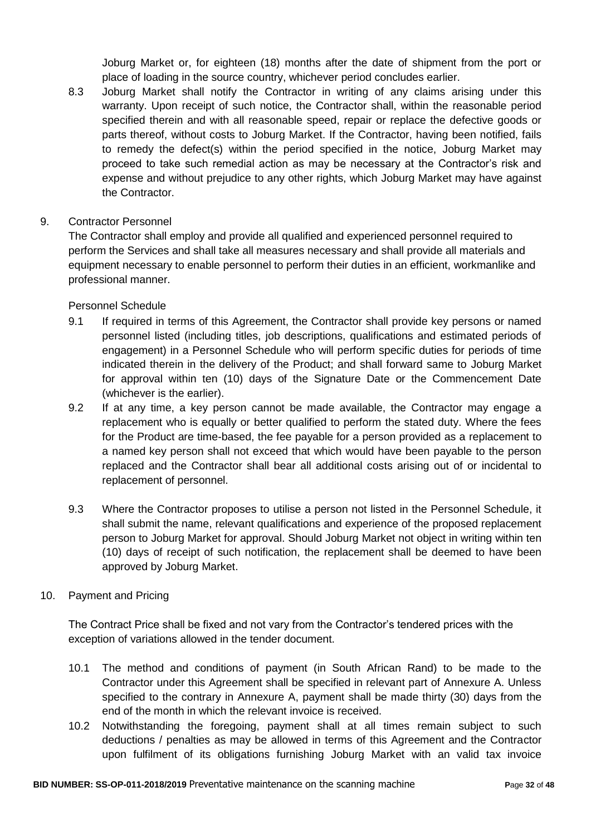Joburg Market or, for eighteen (18) months after the date of shipment from the port or place of loading in the source country, whichever period concludes earlier.

- 8.3 Joburg Market shall notify the Contractor in writing of any claims arising under this warranty. Upon receipt of such notice, the Contractor shall, within the reasonable period specified therein and with all reasonable speed, repair or replace the defective goods or parts thereof, without costs to Joburg Market. If the Contractor, having been notified, fails to remedy the defect(s) within the period specified in the notice, Joburg Market may proceed to take such remedial action as may be necessary at the Contractor"s risk and expense and without prejudice to any other rights, which Joburg Market may have against the Contractor.
- 9. Contractor Personnel

The Contractor shall employ and provide all qualified and experienced personnel required to perform the Services and shall take all measures necessary and shall provide all materials and equipment necessary to enable personnel to perform their duties in an efficient, workmanlike and professional manner.

Personnel Schedule

- 9.1 If required in terms of this Agreement, the Contractor shall provide key persons or named personnel listed (including titles, job descriptions, qualifications and estimated periods of engagement) in a Personnel Schedule who will perform specific duties for periods of time indicated therein in the delivery of the Product; and shall forward same to Joburg Market for approval within ten (10) days of the Signature Date or the Commencement Date (whichever is the earlier).
- 9.2 If at any time, a key person cannot be made available, the Contractor may engage a replacement who is equally or better qualified to perform the stated duty. Where the fees for the Product are time-based, the fee payable for a person provided as a replacement to a named key person shall not exceed that which would have been payable to the person replaced and the Contractor shall bear all additional costs arising out of or incidental to replacement of personnel.
- 9.3 Where the Contractor proposes to utilise a person not listed in the Personnel Schedule, it shall submit the name, relevant qualifications and experience of the proposed replacement person to Joburg Market for approval. Should Joburg Market not object in writing within ten (10) days of receipt of such notification, the replacement shall be deemed to have been approved by Joburg Market.
- 10. Payment and Pricing

The Contract Price shall be fixed and not vary from the Contractor"s tendered prices with the exception of variations allowed in the tender document.

- 10.1 The method and conditions of payment (in South African Rand) to be made to the Contractor under this Agreement shall be specified in relevant part of Annexure A. Unless specified to the contrary in Annexure A, payment shall be made thirty (30) days from the end of the month in which the relevant invoice is received.
- 10.2 Notwithstanding the foregoing, payment shall at all times remain subject to such deductions / penalties as may be allowed in terms of this Agreement and the Contractor upon fulfilment of its obligations furnishing Joburg Market with an valid tax invoice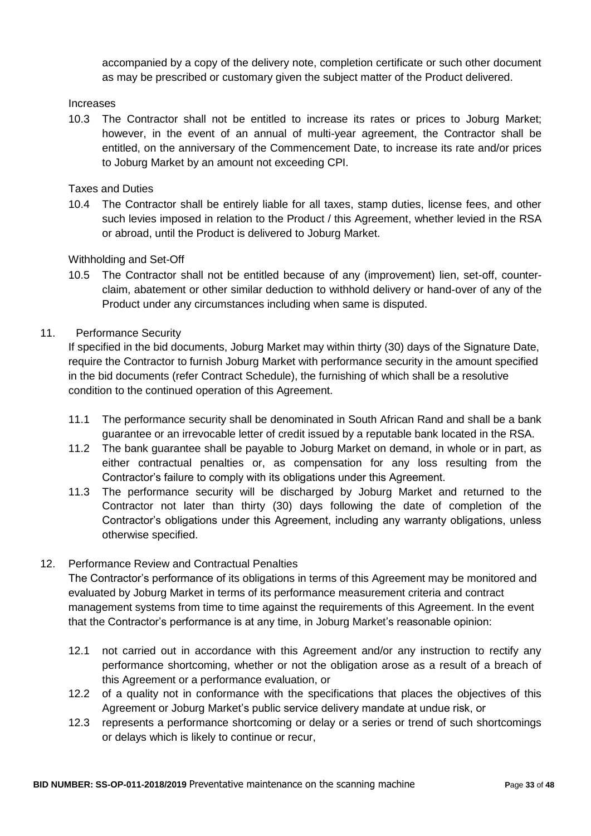accompanied by a copy of the delivery note, completion certificate or such other document as may be prescribed or customary given the subject matter of the Product delivered.

#### Increases

10.3 The Contractor shall not be entitled to increase its rates or prices to Joburg Market; however, in the event of an annual of multi-year agreement, the Contractor shall be entitled, on the anniversary of the Commencement Date, to increase its rate and/or prices to Joburg Market by an amount not exceeding CPI.

Taxes and Duties

10.4 The Contractor shall be entirely liable for all taxes, stamp duties, license fees, and other such levies imposed in relation to the Product / this Agreement, whether levied in the RSA or abroad, until the Product is delivered to Joburg Market.

### Withholding and Set-Off

10.5 The Contractor shall not be entitled because of any (improvement) lien, set-off, counterclaim, abatement or other similar deduction to withhold delivery or hand-over of any of the Product under any circumstances including when same is disputed.

### 11. Performance Security

If specified in the bid documents, Joburg Market may within thirty (30) days of the Signature Date, require the Contractor to furnish Joburg Market with performance security in the amount specified in the bid documents (refer Contract Schedule), the furnishing of which shall be a resolutive condition to the continued operation of this Agreement.

- 11.1 The performance security shall be denominated in South African Rand and shall be a bank guarantee or an irrevocable letter of credit issued by a reputable bank located in the RSA.
- 11.2 The bank guarantee shall be payable to Joburg Market on demand, in whole or in part, as either contractual penalties or, as compensation for any loss resulting from the Contractor"s failure to comply with its obligations under this Agreement.
- 11.3 The performance security will be discharged by Joburg Market and returned to the Contractor not later than thirty (30) days following the date of completion of the Contractor"s obligations under this Agreement, including any warranty obligations, unless otherwise specified.

### 12. Performance Review and Contractual Penalties

The Contractor's performance of its obligations in terms of this Agreement may be monitored and evaluated by Joburg Market in terms of its performance measurement criteria and contract management systems from time to time against the requirements of this Agreement. In the event that the Contractor"s performance is at any time, in Joburg Market"s reasonable opinion:

- 12.1 not carried out in accordance with this Agreement and/or any instruction to rectify any performance shortcoming, whether or not the obligation arose as a result of a breach of this Agreement or a performance evaluation, or
- 12.2 of a quality not in conformance with the specifications that places the objectives of this Agreement or Joburg Market"s public service delivery mandate at undue risk, or
- 12.3 represents a performance shortcoming or delay or a series or trend of such shortcomings or delays which is likely to continue or recur,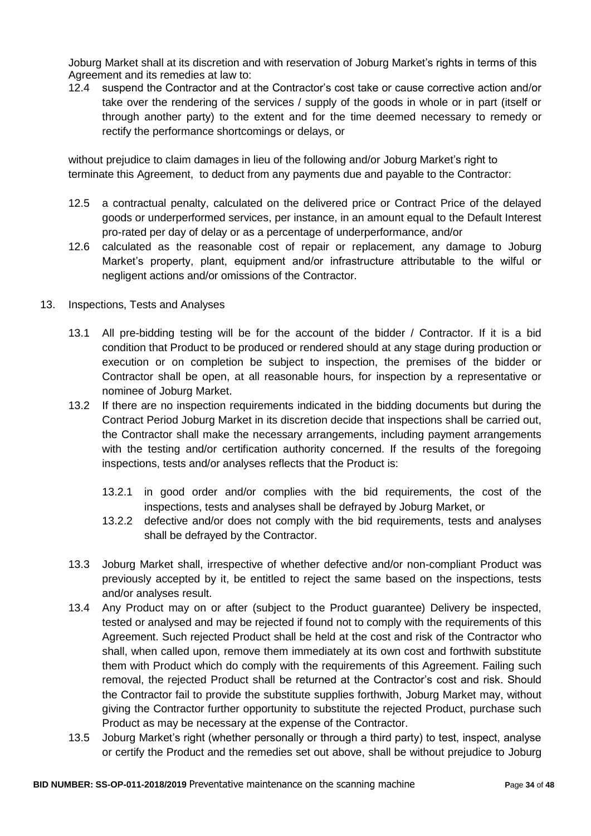Joburg Market shall at its discretion and with reservation of Joburg Market's rights in terms of this Agreement and its remedies at law to:

12.4 suspend the Contractor and at the Contractor"s cost take or cause corrective action and/or take over the rendering of the services / supply of the goods in whole or in part (itself or through another party) to the extent and for the time deemed necessary to remedy or rectify the performance shortcomings or delays, or

without prejudice to claim damages in lieu of the following and/or Joburg Market's right to terminate this Agreement, to deduct from any payments due and payable to the Contractor:

- 12.5 a contractual penalty, calculated on the delivered price or Contract Price of the delayed goods or underperformed services, per instance, in an amount equal to the Default Interest pro-rated per day of delay or as a percentage of underperformance, and/or
- 12.6 calculated as the reasonable cost of repair or replacement, any damage to Joburg Market"s property, plant, equipment and/or infrastructure attributable to the wilful or negligent actions and/or omissions of the Contractor.
- 13. Inspections, Tests and Analyses
	- 13.1 All pre-bidding testing will be for the account of the bidder / Contractor. If it is a bid condition that Product to be produced or rendered should at any stage during production or execution or on completion be subject to inspection, the premises of the bidder or Contractor shall be open, at all reasonable hours, for inspection by a representative or nominee of Joburg Market.
	- 13.2 If there are no inspection requirements indicated in the bidding documents but during the Contract Period Joburg Market in its discretion decide that inspections shall be carried out, the Contractor shall make the necessary arrangements, including payment arrangements with the testing and/or certification authority concerned. If the results of the foregoing inspections, tests and/or analyses reflects that the Product is:
		- 13.2.1 in good order and/or complies with the bid requirements, the cost of the inspections, tests and analyses shall be defrayed by Joburg Market, or
		- 13.2.2 defective and/or does not comply with the bid requirements, tests and analyses shall be defrayed by the Contractor.
	- 13.3 Joburg Market shall, irrespective of whether defective and/or non-compliant Product was previously accepted by it, be entitled to reject the same based on the inspections, tests and/or analyses result.
	- 13.4 Any Product may on or after (subject to the Product guarantee) Delivery be inspected, tested or analysed and may be rejected if found not to comply with the requirements of this Agreement. Such rejected Product shall be held at the cost and risk of the Contractor who shall, when called upon, remove them immediately at its own cost and forthwith substitute them with Product which do comply with the requirements of this Agreement. Failing such removal, the rejected Product shall be returned at the Contractor's cost and risk. Should the Contractor fail to provide the substitute supplies forthwith, Joburg Market may, without giving the Contractor further opportunity to substitute the rejected Product, purchase such Product as may be necessary at the expense of the Contractor.
	- 13.5 Joburg Market"s right (whether personally or through a third party) to test, inspect, analyse or certify the Product and the remedies set out above, shall be without prejudice to Joburg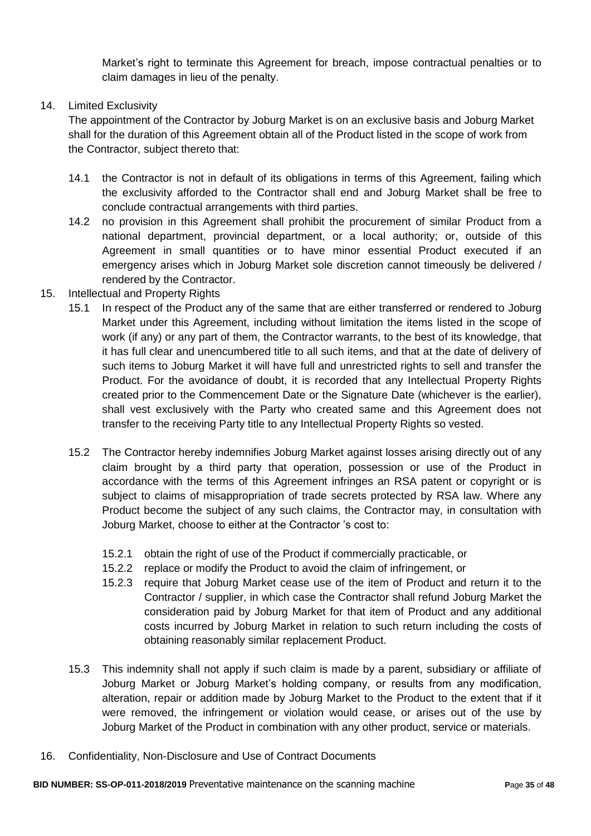Market"s right to terminate this Agreement for breach, impose contractual penalties or to claim damages in lieu of the penalty.

### 14. Limited Exclusivity

The appointment of the Contractor by Joburg Market is on an exclusive basis and Joburg Market shall for the duration of this Agreement obtain all of the Product listed in the scope of work from the Contractor, subject thereto that:

- 14.1 the Contractor is not in default of its obligations in terms of this Agreement, failing which the exclusivity afforded to the Contractor shall end and Joburg Market shall be free to conclude contractual arrangements with third parties.
- 14.2 no provision in this Agreement shall prohibit the procurement of similar Product from a national department, provincial department, or a local authority; or, outside of this Agreement in small quantities or to have minor essential Product executed if an emergency arises which in Joburg Market sole discretion cannot timeously be delivered / rendered by the Contractor.
- 15. Intellectual and Property Rights
	- 15.1 In respect of the Product any of the same that are either transferred or rendered to Joburg Market under this Agreement, including without limitation the items listed in the scope of work (if any) or any part of them, the Contractor warrants, to the best of its knowledge, that it has full clear and unencumbered title to all such items, and that at the date of delivery of such items to Joburg Market it will have full and unrestricted rights to sell and transfer the Product. For the avoidance of doubt, it is recorded that any Intellectual Property Rights created prior to the Commencement Date or the Signature Date (whichever is the earlier), shall vest exclusively with the Party who created same and this Agreement does not transfer to the receiving Party title to any Intellectual Property Rights so vested.
	- 15.2 The Contractor hereby indemnifies Joburg Market against losses arising directly out of any claim brought by a third party that operation, possession or use of the Product in accordance with the terms of this Agreement infringes an RSA patent or copyright or is subject to claims of misappropriation of trade secrets protected by RSA law. Where any Product become the subject of any such claims, the Contractor may, in consultation with Joburg Market, choose to either at the Contractor "s cost to:
		- 15.2.1 obtain the right of use of the Product if commercially practicable, or
		- 15.2.2 replace or modify the Product to avoid the claim of infringement, or
		- 15.2.3 require that Joburg Market cease use of the item of Product and return it to the Contractor / supplier, in which case the Contractor shall refund Joburg Market the consideration paid by Joburg Market for that item of Product and any additional costs incurred by Joburg Market in relation to such return including the costs of obtaining reasonably similar replacement Product.
	- 15.3 This indemnity shall not apply if such claim is made by a parent, subsidiary or affiliate of Joburg Market or Joburg Market"s holding company, or results from any modification, alteration, repair or addition made by Joburg Market to the Product to the extent that if it were removed, the infringement or violation would cease, or arises out of the use by Joburg Market of the Product in combination with any other product, service or materials.
- 16. Confidentiality, Non-Disclosure and Use of Contract Documents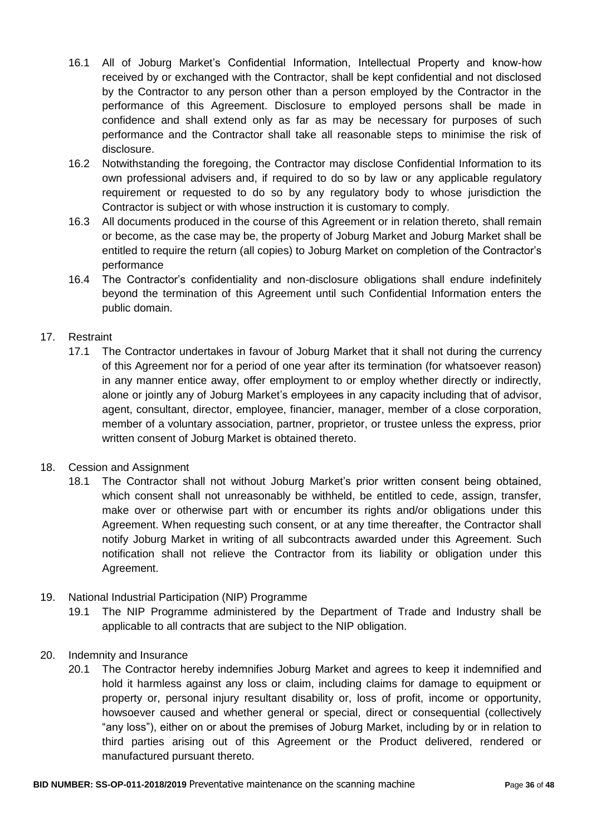- 16.1 All of Joburg Market"s Confidential Information, Intellectual Property and know-how received by or exchanged with the Contractor, shall be kept confidential and not disclosed by the Contractor to any person other than a person employed by the Contractor in the performance of this Agreement. Disclosure to employed persons shall be made in confidence and shall extend only as far as may be necessary for purposes of such performance and the Contractor shall take all reasonable steps to minimise the risk of disclosure.
- 16.2 Notwithstanding the foregoing, the Contractor may disclose Confidential Information to its own professional advisers and, if required to do so by law or any applicable regulatory requirement or requested to do so by any regulatory body to whose jurisdiction the Contractor is subject or with whose instruction it is customary to comply.
- 16.3 All documents produced in the course of this Agreement or in relation thereto, shall remain or become, as the case may be, the property of Joburg Market and Joburg Market shall be entitled to require the return (all copies) to Joburg Market on completion of the Contractor's performance
- 16.4 The Contractor"s confidentiality and non-disclosure obligations shall endure indefinitely beyond the termination of this Agreement until such Confidential Information enters the public domain.

# 17. Restraint

- 17.1 The Contractor undertakes in favour of Joburg Market that it shall not during the currency of this Agreement nor for a period of one year after its termination (for whatsoever reason) in any manner entice away, offer employment to or employ whether directly or indirectly, alone or jointly any of Joburg Market"s employees in any capacity including that of advisor, agent, consultant, director, employee, financier, manager, member of a close corporation, member of a voluntary association, partner, proprietor, or trustee unless the express, prior written consent of Joburg Market is obtained thereto.
- 18. Cession and Assignment
	- 18.1 The Contractor shall not without Joburg Market"s prior written consent being obtained, which consent shall not unreasonably be withheld, be entitled to cede, assign, transfer, make over or otherwise part with or encumber its rights and/or obligations under this Agreement. When requesting such consent, or at any time thereafter, the Contractor shall notify Joburg Market in writing of all subcontracts awarded under this Agreement. Such notification shall not relieve the Contractor from its liability or obligation under this Agreement.
- 19. National Industrial Participation (NIP) Programme
	- 19.1 The NIP Programme administered by the Department of Trade and Industry shall be applicable to all contracts that are subject to the NIP obligation.
- 20. Indemnity and Insurance
	- 20.1 The Contractor hereby indemnifies Joburg Market and agrees to keep it indemnified and hold it harmless against any loss or claim, including claims for damage to equipment or property or, personal injury resultant disability or, loss of profit, income or opportunity, howsoever caused and whether general or special, direct or consequential (collectively "any loss"), either on or about the premises of Joburg Market, including by or in relation to third parties arising out of this Agreement or the Product delivered, rendered or manufactured pursuant thereto.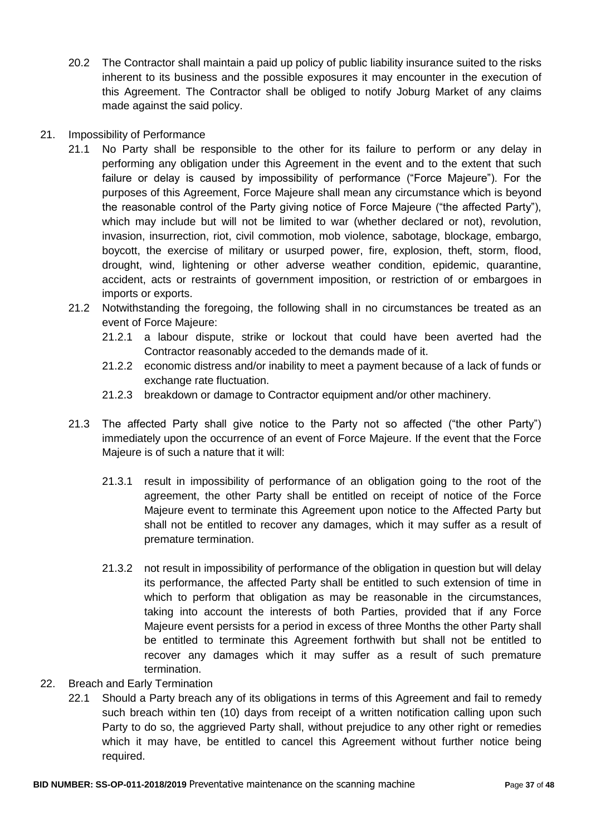20.2 The Contractor shall maintain a paid up policy of public liability insurance suited to the risks inherent to its business and the possible exposures it may encounter in the execution of this Agreement. The Contractor shall be obliged to notify Joburg Market of any claims made against the said policy.

### 21. Impossibility of Performance

- 21.1 No Party shall be responsible to the other for its failure to perform or any delay in performing any obligation under this Agreement in the event and to the extent that such failure or delay is caused by impossibility of performance ("Force Majeure"). For the purposes of this Agreement, Force Majeure shall mean any circumstance which is beyond the reasonable control of the Party giving notice of Force Majeure ("the affected Party"), which may include but will not be limited to war (whether declared or not), revolution, invasion, insurrection, riot, civil commotion, mob violence, sabotage, blockage, embargo, boycott, the exercise of military or usurped power, fire, explosion, theft, storm, flood, drought, wind, lightening or other adverse weather condition, epidemic, quarantine, accident, acts or restraints of government imposition, or restriction of or embargoes in imports or exports.
- 21.2 Notwithstanding the foregoing, the following shall in no circumstances be treated as an event of Force Majeure:
	- 21.2.1 a labour dispute, strike or lockout that could have been averted had the Contractor reasonably acceded to the demands made of it.
	- 21.2.2 economic distress and/or inability to meet a payment because of a lack of funds or exchange rate fluctuation.
	- 21.2.3 breakdown or damage to Contractor equipment and/or other machinery.
- 21.3 The affected Party shall give notice to the Party not so affected ("the other Party") immediately upon the occurrence of an event of Force Majeure. If the event that the Force Majeure is of such a nature that it will:
	- 21.3.1 result in impossibility of performance of an obligation going to the root of the agreement, the other Party shall be entitled on receipt of notice of the Force Majeure event to terminate this Agreement upon notice to the Affected Party but shall not be entitled to recover any damages, which it may suffer as a result of premature termination.
	- 21.3.2 not result in impossibility of performance of the obligation in question but will delay its performance, the affected Party shall be entitled to such extension of time in which to perform that obligation as may be reasonable in the circumstances, taking into account the interests of both Parties, provided that if any Force Majeure event persists for a period in excess of three Months the other Party shall be entitled to terminate this Agreement forthwith but shall not be entitled to recover any damages which it may suffer as a result of such premature termination.
- 22. Breach and Early Termination
	- 22.1 Should a Party breach any of its obligations in terms of this Agreement and fail to remedy such breach within ten (10) days from receipt of a written notification calling upon such Party to do so, the aggrieved Party shall, without prejudice to any other right or remedies which it may have, be entitled to cancel this Agreement without further notice being required.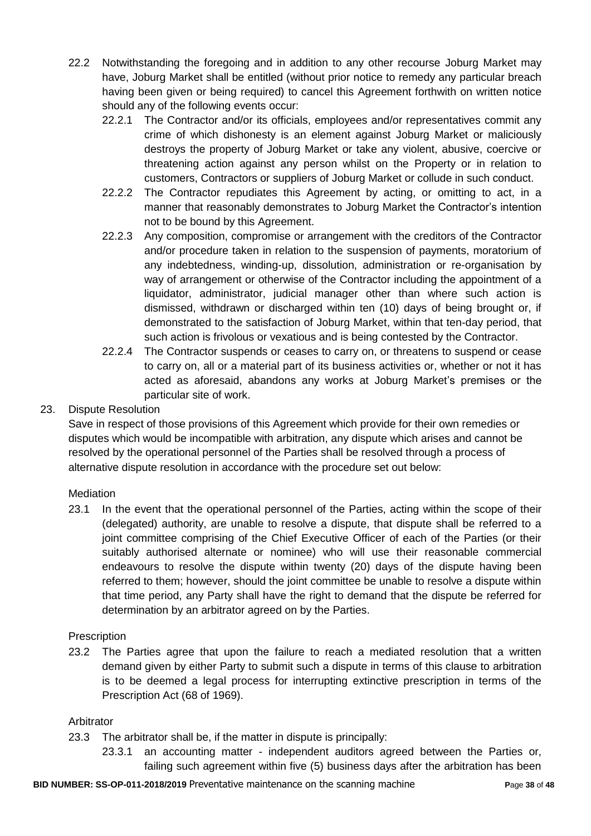- 22.2 Notwithstanding the foregoing and in addition to any other recourse Joburg Market may have, Joburg Market shall be entitled (without prior notice to remedy any particular breach having been given or being required) to cancel this Agreement forthwith on written notice should any of the following events occur:
	- 22.2.1 The Contractor and/or its officials, employees and/or representatives commit any crime of which dishonesty is an element against Joburg Market or maliciously destroys the property of Joburg Market or take any violent, abusive, coercive or threatening action against any person whilst on the Property or in relation to customers, Contractors or suppliers of Joburg Market or collude in such conduct.
	- 22.2.2 The Contractor repudiates this Agreement by acting, or omitting to act, in a manner that reasonably demonstrates to Joburg Market the Contractor"s intention not to be bound by this Agreement.
	- 22.2.3 Any composition, compromise or arrangement with the creditors of the Contractor and/or procedure taken in relation to the suspension of payments, moratorium of any indebtedness, winding-up, dissolution, administration or re-organisation by way of arrangement or otherwise of the Contractor including the appointment of a liquidator, administrator, judicial manager other than where such action is dismissed, withdrawn or discharged within ten (10) days of being brought or, if demonstrated to the satisfaction of Joburg Market, within that ten-day period, that such action is frivolous or vexatious and is being contested by the Contractor.
	- 22.2.4 The Contractor suspends or ceases to carry on, or threatens to suspend or cease to carry on, all or a material part of its business activities or, whether or not it has acted as aforesaid, abandons any works at Joburg Market"s premises or the particular site of work.

# 23. Dispute Resolution

Save in respect of those provisions of this Agreement which provide for their own remedies or disputes which would be incompatible with arbitration, any dispute which arises and cannot be resolved by the operational personnel of the Parties shall be resolved through a process of alternative dispute resolution in accordance with the procedure set out below:

# **Mediation**

23.1 In the event that the operational personnel of the Parties, acting within the scope of their (delegated) authority, are unable to resolve a dispute, that dispute shall be referred to a joint committee comprising of the Chief Executive Officer of each of the Parties (or their suitably authorised alternate or nominee) who will use their reasonable commercial endeavours to resolve the dispute within twenty (20) days of the dispute having been referred to them; however, should the joint committee be unable to resolve a dispute within that time period, any Party shall have the right to demand that the dispute be referred for determination by an arbitrator agreed on by the Parties.

# **Prescription**

23.2 The Parties agree that upon the failure to reach a mediated resolution that a written demand given by either Party to submit such a dispute in terms of this clause to arbitration is to be deemed a legal process for interrupting extinctive prescription in terms of the Prescription Act (68 of 1969).

# Arbitrator

- 23.3 The arbitrator shall be, if the matter in dispute is principally:
	- 23.3.1 an accounting matter independent auditors agreed between the Parties or, failing such agreement within five (5) business days after the arbitration has been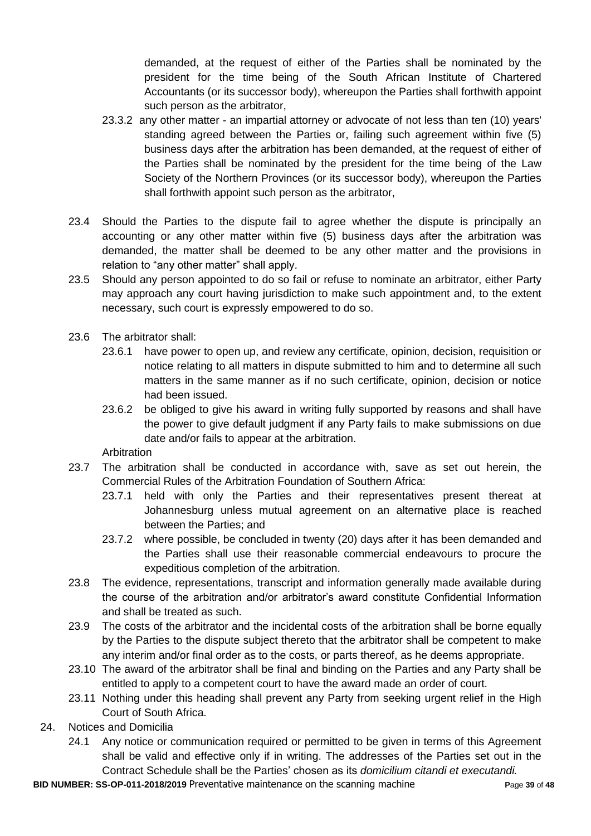demanded, at the request of either of the Parties shall be nominated by the president for the time being of the South African Institute of Chartered Accountants (or its successor body), whereupon the Parties shall forthwith appoint such person as the arbitrator.

- 23.3.2 any other matter an impartial attorney or advocate of not less than ten (10) years' standing agreed between the Parties or, failing such agreement within five (5) business days after the arbitration has been demanded, at the request of either of the Parties shall be nominated by the president for the time being of the Law Society of the Northern Provinces (or its successor body), whereupon the Parties shall forthwith appoint such person as the arbitrator,
- 23.4 Should the Parties to the dispute fail to agree whether the dispute is principally an accounting or any other matter within five (5) business days after the arbitration was demanded, the matter shall be deemed to be any other matter and the provisions in relation to "any other matter" shall apply.
- 23.5 Should any person appointed to do so fail or refuse to nominate an arbitrator, either Party may approach any court having jurisdiction to make such appointment and, to the extent necessary, such court is expressly empowered to do so.
- 23.6 The arbitrator shall:
	- 23.6.1 have power to open up, and review any certificate, opinion, decision, requisition or notice relating to all matters in dispute submitted to him and to determine all such matters in the same manner as if no such certificate, opinion, decision or notice had been issued.
	- 23.6.2 be obliged to give his award in writing fully supported by reasons and shall have the power to give default judgment if any Party fails to make submissions on due date and/or fails to appear at the arbitration.

**Arbitration** 

- 23.7 The arbitration shall be conducted in accordance with, save as set out herein, the Commercial Rules of the Arbitration Foundation of Southern Africa:
	- 23.7.1 held with only the Parties and their representatives present thereat at Johannesburg unless mutual agreement on an alternative place is reached between the Parties; and
	- 23.7.2 where possible, be concluded in twenty (20) days after it has been demanded and the Parties shall use their reasonable commercial endeavours to procure the expeditious completion of the arbitration.
- 23.8 The evidence, representations, transcript and information generally made available during the course of the arbitration and/or arbitrator"s award constitute Confidential Information and shall be treated as such.
- 23.9 The costs of the arbitrator and the incidental costs of the arbitration shall be borne equally by the Parties to the dispute subject thereto that the arbitrator shall be competent to make any interim and/or final order as to the costs, or parts thereof, as he deems appropriate.
- 23.10 The award of the arbitrator shall be final and binding on the Parties and any Party shall be entitled to apply to a competent court to have the award made an order of court.
- 23.11 Nothing under this heading shall prevent any Party from seeking urgent relief in the High Court of South Africa.
- 24. Notices and Domicilia
	- 24.1 Any notice or communication required or permitted to be given in terms of this Agreement shall be valid and effective only if in writing. The addresses of the Parties set out in the Contract Schedule shall be the Parties" chosen as its *domicilium citandi et executandi.*

**BID NUMBER: SS-OP-011-2018/2019** Preventative maintenance on the scanning machine **P**age **39** of **48**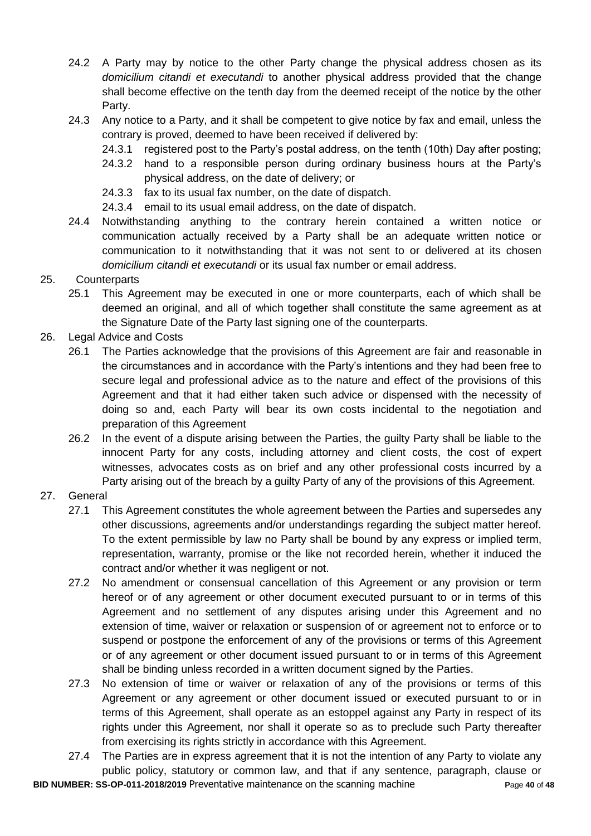- 24.2 A Party may by notice to the other Party change the physical address chosen as its *domicilium citandi et executandi* to another physical address provided that the change shall become effective on the tenth day from the deemed receipt of the notice by the other Party.
- 24.3 Any notice to a Party, and it shall be competent to give notice by fax and email, unless the contrary is proved, deemed to have been received if delivered by:
	- 24.3.1 registered post to the Party"s postal address, on the tenth (10th) Day after posting;
	- 24.3.2 hand to a responsible person during ordinary business hours at the Party"s physical address, on the date of delivery; or
	- 24.3.3 fax to its usual fax number, on the date of dispatch.
	- 24.3.4 email to its usual email address, on the date of dispatch.
- 24.4 Notwithstanding anything to the contrary herein contained a written notice or communication actually received by a Party shall be an adequate written notice or communication to it notwithstanding that it was not sent to or delivered at its chosen *domicilium citandi et executandi* or its usual fax number or email address.

# 25. Counterparts

- 25.1 This Agreement may be executed in one or more counterparts, each of which shall be deemed an original, and all of which together shall constitute the same agreement as at the Signature Date of the Party last signing one of the counterparts.
- 26. Legal Advice and Costs
	- 26.1 The Parties acknowledge that the provisions of this Agreement are fair and reasonable in the circumstances and in accordance with the Party"s intentions and they had been free to secure legal and professional advice as to the nature and effect of the provisions of this Agreement and that it had either taken such advice or dispensed with the necessity of doing so and, each Party will bear its own costs incidental to the negotiation and preparation of this Agreement
	- 26.2 In the event of a dispute arising between the Parties, the guilty Party shall be liable to the innocent Party for any costs, including attorney and client costs, the cost of expert witnesses, advocates costs as on brief and any other professional costs incurred by a Party arising out of the breach by a guilty Party of any of the provisions of this Agreement.

# 27. General

- 27.1 This Agreement constitutes the whole agreement between the Parties and supersedes any other discussions, agreements and/or understandings regarding the subject matter hereof. To the extent permissible by law no Party shall be bound by any express or implied term, representation, warranty, promise or the like not recorded herein, whether it induced the contract and/or whether it was negligent or not.
- 27.2 No amendment or consensual cancellation of this Agreement or any provision or term hereof or of any agreement or other document executed pursuant to or in terms of this Agreement and no settlement of any disputes arising under this Agreement and no extension of time, waiver or relaxation or suspension of or agreement not to enforce or to suspend or postpone the enforcement of any of the provisions or terms of this Agreement or of any agreement or other document issued pursuant to or in terms of this Agreement shall be binding unless recorded in a written document signed by the Parties.
- 27.3 No extension of time or waiver or relaxation of any of the provisions or terms of this Agreement or any agreement or other document issued or executed pursuant to or in terms of this Agreement, shall operate as an estoppel against any Party in respect of its rights under this Agreement, nor shall it operate so as to preclude such Party thereafter from exercising its rights strictly in accordance with this Agreement.
- **BID NUMBER: SS-OP-011-2018/2019** Preventative maintenance on the scanning machine **P**age **40** of **48** 27.4 The Parties are in express agreement that it is not the intention of any Party to violate any public policy, statutory or common law, and that if any sentence, paragraph, clause or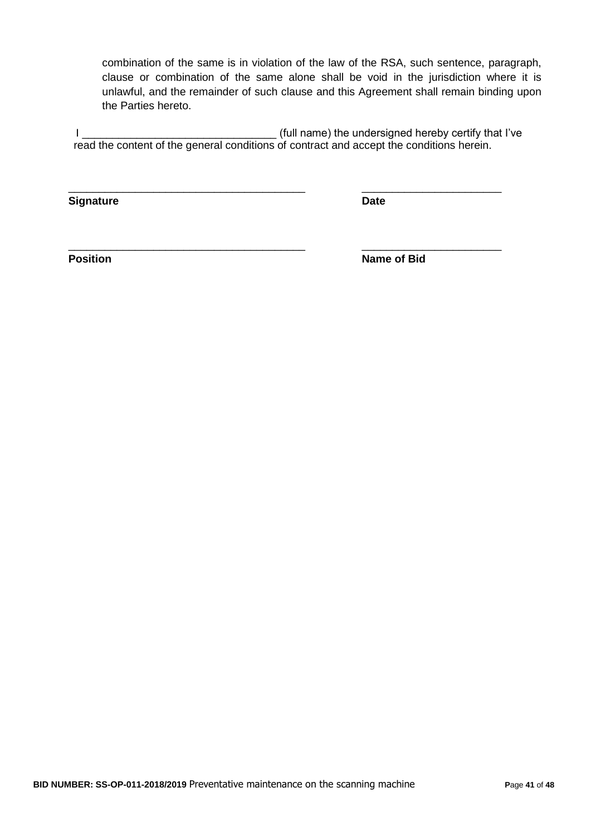combination of the same is in violation of the law of the RSA, such sentence, paragraph, clause or combination of the same alone shall be void in the jurisdiction where it is unlawful, and the remainder of such clause and this Agreement shall remain binding upon the Parties hereto.

I \_\_\_\_\_\_\_\_\_\_\_\_\_\_\_\_\_\_\_\_\_\_\_\_\_\_\_\_\_\_\_\_ (full name) the undersigned hereby certify that I"ve read the content of the general conditions of contract and accept the conditions herein.

\_\_\_\_\_\_\_\_\_\_\_\_\_\_\_\_\_\_\_\_\_\_\_\_\_\_\_\_\_\_\_\_\_\_\_\_\_\_\_ \_\_\_\_\_\_\_\_\_\_\_\_\_\_\_\_\_\_\_\_\_\_\_

\_\_\_\_\_\_\_\_\_\_\_\_\_\_\_\_\_\_\_\_\_\_\_\_\_\_\_\_\_\_\_\_\_\_\_\_\_\_\_ \_\_\_\_\_\_\_\_\_\_\_\_\_\_\_\_\_\_\_\_\_\_\_

**Signature Date**

**Position** Name of Bid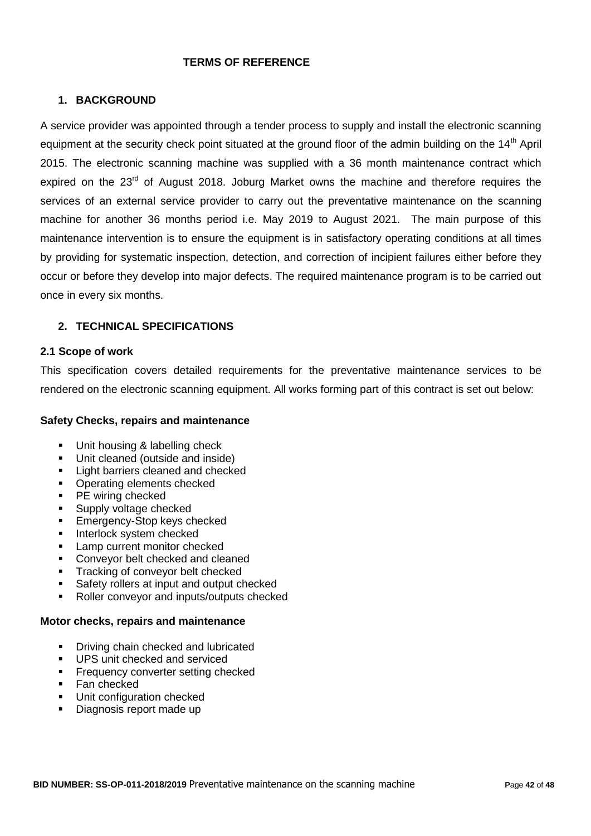#### **TERMS OF REFERENCE**

### **1. BACKGROUND**

A service provider was appointed through a tender process to supply and install the electronic scanning equipment at the security check point situated at the ground floor of the admin building on the 14<sup>th</sup> April 2015. The electronic scanning machine was supplied with a 36 month maintenance contract which expired on the 23<sup>rd</sup> of August 2018. Joburg Market owns the machine and therefore requires the services of an external service provider to carry out the preventative maintenance on the scanning machine for another 36 months period i.e. May 2019 to August 2021. The main purpose of this maintenance intervention is to ensure the equipment is in satisfactory operating conditions at all times by providing for systematic inspection, detection, and correction of incipient failures either before they occur or before they develop into major defects. The required maintenance program is to be carried out once in every six months.

### **2. TECHNICAL SPECIFICATIONS**

#### **2.1 Scope of work**

This specification covers detailed requirements for the preventative maintenance services to be rendered on the electronic scanning equipment. All works forming part of this contract is set out below:

#### **Safety Checks, repairs and maintenance**

- Unit housing & labelling check
- **Unit cleaned (outside and inside)**
- **Light barriers cleaned and checked**
- Operating elements checked<br>• PE wiring checked
- PE wiring checked
- **Supply voltage checked**
- **Emergency-Stop keys checked**
- **Interlock system checked**
- **Lamp current monitor checked**
- **Conveyor belt checked and cleaned**
- **Tracking of convevor belt checked**
- Safety rollers at input and output checked
- Roller convevor and inputs/outputs checked

#### **Motor checks, repairs and maintenance**

- **•** Driving chain checked and lubricated
- **UPS** unit checked and serviced
- **Frequency converter setting checked**
- **Fan checked**
- **Unit configuration checked**
- Diagnosis report made up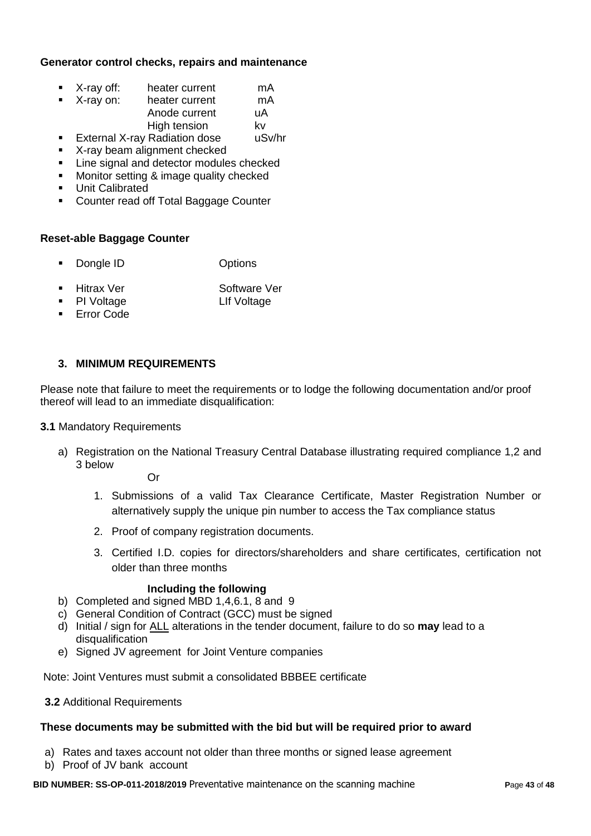#### **Generator control checks, repairs and maintenance**

- X-ray off: heater current mA
- X-ray on: heater current mA Anode current uA High tension by kv
- **External X-ray Radiation dose** uSv/hr
- **X-ray beam alignment checked**
- **EXEC** Line signal and detector modules checked
- **Monitor setting & image quality checked**
- **Unit Calibrated**
- **EXECOUNTER 19 TO COUNTER 15 TO COUNTER** Counter

#### **Reset-able Baggage Counter**

- Dongle ID Options
- Hitrax Ver Software Ver
- PI Voltage **LIF** Voltage
- **Error Code**

### **3. MINIMUM REQUIREMENTS**

Please note that failure to meet the requirements or to lodge the following documentation and/or proof thereof will lead to an immediate disqualification:

#### **3.1 Mandatory Requirements**

a) Registration on the National Treasury Central Database illustrating required compliance 1,2 and 3 below

Or

- 1. Submissions of a valid Tax Clearance Certificate, Master Registration Number or alternatively supply the unique pin number to access the Tax compliance status
- 2. Proof of company registration documents.
- 3. Certified I.D. copies for directors/shareholders and share certificates, certification not older than three months

#### **Including the following**

- b) Completed and signed MBD 1,4,6.1, 8 and 9
- c) General Condition of Contract (GCC) must be signed
- d) Initial / sign for ALL alterations in the tender document, failure to do so **may** lead to a disqualification
- e) Signed JV agreement for Joint Venture companies

Note: Joint Ventures must submit a consolidated BBBEE certificate

**3.2** Additional Requirements

#### **These documents may be submitted with the bid but will be required prior to award**

- a) Rates and taxes account not older than three months or signed lease agreement
- b) Proof of JV bank account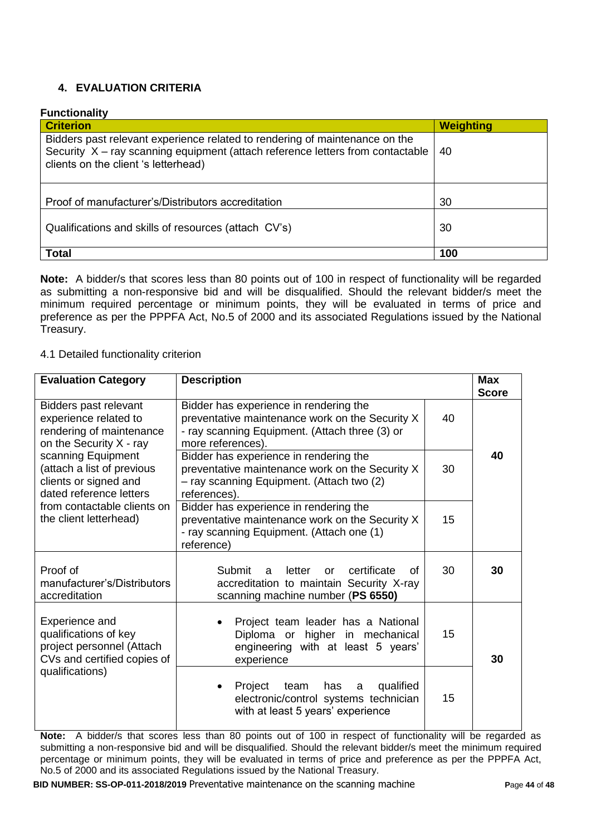# **4. EVALUATION CRITERIA**

#### **Functionality**

| <b>Criterion</b>                                                                                                                                                                                      | <b>Weighting</b> |
|-------------------------------------------------------------------------------------------------------------------------------------------------------------------------------------------------------|------------------|
| Bidders past relevant experience related to rendering of maintenance on the<br>Security X - ray scanning equipment (attach reference letters from contactable<br>clients on the client 's letterhead) | 40               |
| Proof of manufacturer's/Distributors accreditation                                                                                                                                                    | 30               |
| Qualifications and skills of resources (attach CV's)                                                                                                                                                  | 30               |
| <b>Total</b>                                                                                                                                                                                          | 100              |

**Note:** A bidder/s that scores less than 80 points out of 100 in respect of functionality will be regarded as submitting a non-responsive bid and will be disqualified. Should the relevant bidder/s meet the minimum required percentage or minimum points, they will be evaluated in terms of price and preference as per the PPPFA Act, No.5 of 2000 and its associated Regulations issued by the National Treasury.

#### 4.1 Detailed functionality criterion

| <b>Evaluation Category</b>                                                                                             | <b>Description</b>                                                                                                                                                     |    | <b>Max</b><br><b>Score</b> |  |
|------------------------------------------------------------------------------------------------------------------------|------------------------------------------------------------------------------------------------------------------------------------------------------------------------|----|----------------------------|--|
| Bidders past relevant<br>experience related to<br>rendering of maintenance<br>on the Security X - ray                  | Bidder has experience in rendering the<br>preventative maintenance work on the Security X<br>40<br>- ray scanning Equipment. (Attach three (3) or<br>more references). |    |                            |  |
| scanning Equipment<br>(attach a list of previous<br>clients or signed and<br>dated reference letters                   | Bidder has experience in rendering the<br>preventative maintenance work on the Security X<br>- ray scanning Equipment. (Attach two (2)<br>references).                 |    | 40                         |  |
| from contactable clients on<br>the client letterhead)                                                                  | Bidder has experience in rendering the<br>preventative maintenance work on the Security X<br>- ray scanning Equipment. (Attach one (1)<br>reference)                   | 15 |                            |  |
| Proof of<br>manufacturer's/Distributors<br>accreditation                                                               | Submit<br>certificate<br>letter<br>a<br><sub>or</sub><br>Ωf<br>accreditation to maintain Security X-ray<br>scanning machine number (PS 6550)                           | 30 | 30                         |  |
| Experience and<br>qualifications of key<br>project personnel (Attach<br>CVs and certified copies of<br>qualifications) | Project team leader has a National<br>Diploma or higher in mechanical<br>engineering with at least 5 years'<br>experience                                              | 15 | 30                         |  |
|                                                                                                                        | qualified<br>Project<br>team<br>has<br>a<br>electronic/control systems technician<br>with at least 5 years' experience                                                 | 15 |                            |  |

**Note:** A bidder/s that scores less than 80 points out of 100 in respect of functionality will be regarded as submitting a non-responsive bid and will be disqualified. Should the relevant bidder/s meet the minimum required percentage or minimum points, they will be evaluated in terms of price and preference as per the PPPFA Act, No.5 of 2000 and its associated Regulations issued by the National Treasury.

**BID NUMBER: SS-OP-011-2018/2019** Preventative maintenance on the scanning machine **P**age **44** of **48**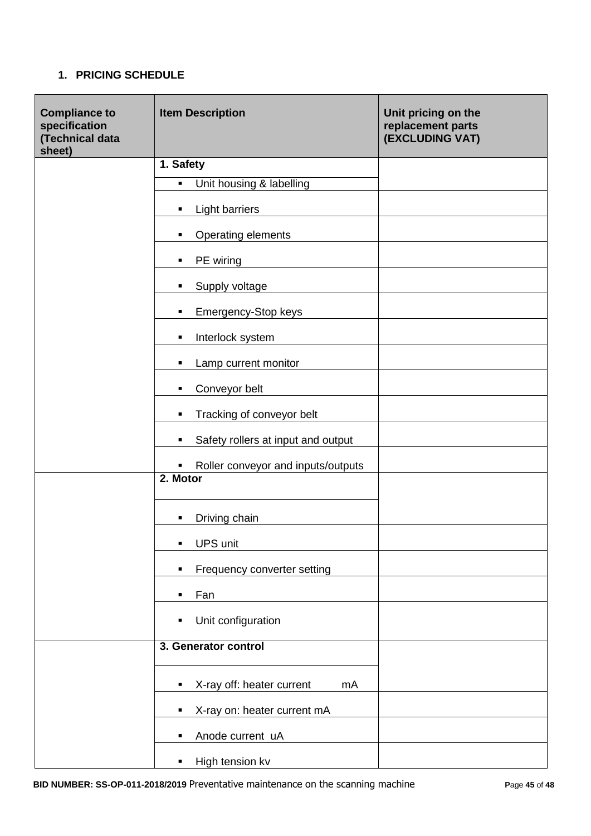# **1. PRICING SCHEDULE**

| <b>Compliance to</b><br>specification<br>(Technical data<br>sheet) | <b>Item Description</b>                    | Unit pricing on the<br>replacement parts<br>(EXCLUDING VAT) |  |
|--------------------------------------------------------------------|--------------------------------------------|-------------------------------------------------------------|--|
|                                                                    | 1. Safety                                  |                                                             |  |
|                                                                    | $\blacksquare$<br>Unit housing & labelling |                                                             |  |
|                                                                    | <b>Light barriers</b><br>٠                 |                                                             |  |
|                                                                    | Operating elements<br>٠                    |                                                             |  |
|                                                                    | PE wiring<br>٠                             |                                                             |  |
|                                                                    | Supply voltage<br>٠                        |                                                             |  |
|                                                                    | Emergency-Stop keys<br>٠                   |                                                             |  |
|                                                                    | Interlock system<br>$\blacksquare$         |                                                             |  |
|                                                                    | Lamp current monitor<br>٠                  |                                                             |  |
|                                                                    | Conveyor belt<br>٠                         |                                                             |  |
|                                                                    | Tracking of conveyor belt<br>٠             |                                                             |  |
|                                                                    | Safety rollers at input and output<br>٠    |                                                             |  |
|                                                                    | Roller conveyor and inputs/outputs<br>п    |                                                             |  |
|                                                                    | 2. Motor                                   |                                                             |  |
|                                                                    | Driving chain<br>٠                         |                                                             |  |
|                                                                    | <b>UPS unit</b><br>п                       |                                                             |  |
|                                                                    | Frequency converter setting<br>٠           |                                                             |  |
|                                                                    | Fan<br>٠                                   |                                                             |  |
|                                                                    | Unit configuration<br>٠                    |                                                             |  |
|                                                                    | 3. Generator control                       |                                                             |  |
|                                                                    | X-ray off: heater current<br>mA<br>٠       |                                                             |  |
|                                                                    | X-ray on: heater current mA<br>٠           |                                                             |  |
|                                                                    | Anode current uA<br>٠                      |                                                             |  |
|                                                                    | High tension kv<br>п                       |                                                             |  |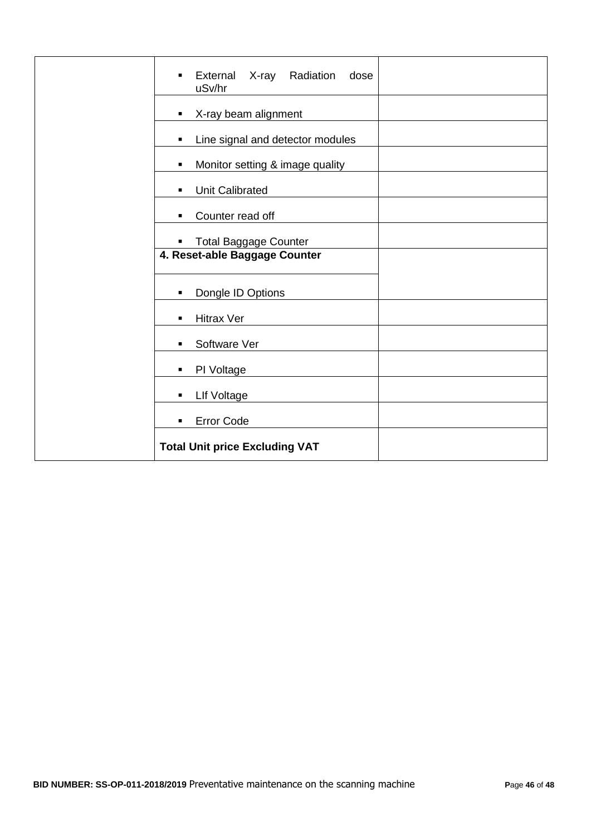| External<br>X-ray<br>Radiation<br>dose<br>$\blacksquare$<br>uSv/hr |
|--------------------------------------------------------------------|
| X-ray beam alignment<br>٠                                          |
| Line signal and detector modules<br>٠                              |
| Monitor setting & image quality<br>٠                               |
| <b>Unit Calibrated</b><br>٠                                        |
| Counter read off<br>٠                                              |
| <b>Total Baggage Counter</b><br>$\blacksquare$                     |
| 4. Reset-able Baggage Counter                                      |
| Dongle ID Options<br>$\blacksquare$                                |
| <b>Hitrax Ver</b><br>$\blacksquare$                                |
| Software Ver                                                       |
| PI Voltage<br>$\blacksquare$                                       |
| <b>LIf Voltage</b><br>٠                                            |
| Error Code<br>$\blacksquare$                                       |
| <b>Total Unit price Excluding VAT</b>                              |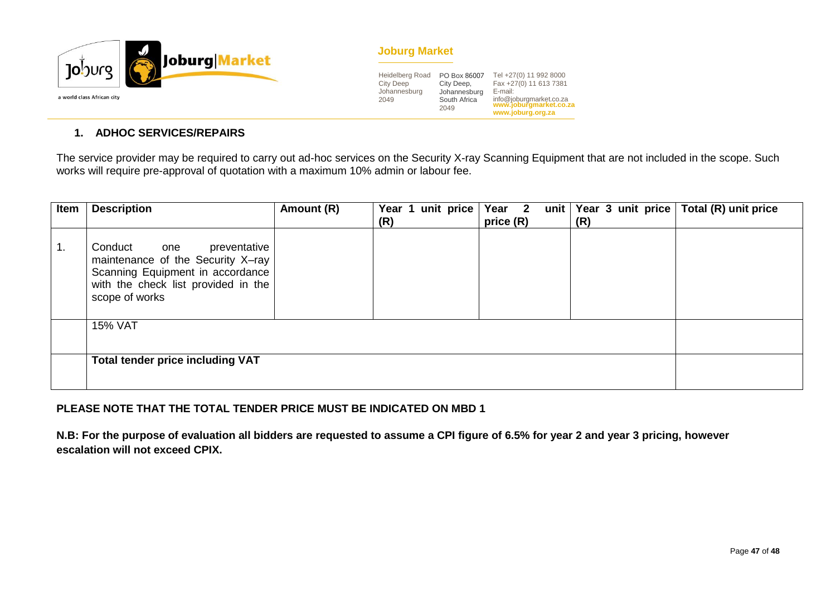

#### **Joburg Market**

| <b>Heidelberg Road</b><br><b>City Deep</b><br>Johannesburg<br>2049 | PO Box 86007<br>City Deep,<br>Johannesburg<br>South Africa<br>2049 | Tel +27(0) 11 992 8000<br>Fax +27(0) 11 613 7381<br>E-mail:<br>info@joburgmarket.co.za<br>www.joburgmarket.co.za<br>www.joburg.org.za |
|--------------------------------------------------------------------|--------------------------------------------------------------------|---------------------------------------------------------------------------------------------------------------------------------------|
|--------------------------------------------------------------------|--------------------------------------------------------------------|---------------------------------------------------------------------------------------------------------------------------------------|

#### **1. ADHOC SERVICES/REPAIRS**

The service provider may be required to carry out ad-hoc services on the Security X-ray Scanning Equipment that are not included in the scope. Such works will require pre-approval of quotation with a maximum 10% admin or labour fee.

| Item | <b>Description</b>                                                                                                                                               | Amount (R) | unit price<br>Year 1<br>(R) | Year 2<br>price (R) | unit   Year 3 unit price  <br>(R) | Total (R) unit price |
|------|------------------------------------------------------------------------------------------------------------------------------------------------------------------|------------|-----------------------------|---------------------|-----------------------------------|----------------------|
| -1.  | Conduct<br>preventative<br>one<br>maintenance of the Security X-ray<br>Scanning Equipment in accordance<br>with the check list provided in the<br>scope of works |            |                             |                     |                                   |                      |
|      | <b>15% VAT</b>                                                                                                                                                   |            |                             |                     |                                   |                      |
|      | <b>Total tender price including VAT</b>                                                                                                                          |            |                             |                     |                                   |                      |

### **PLEASE NOTE THAT THE TOTAL TENDER PRICE MUST BE INDICATED ON MBD 1**

**N.B: For the purpose of evaluation all bidders are requested to assume a CPI figure of 6.5% for year 2 and year 3 pricing, however escalation will not exceed CPIX.**